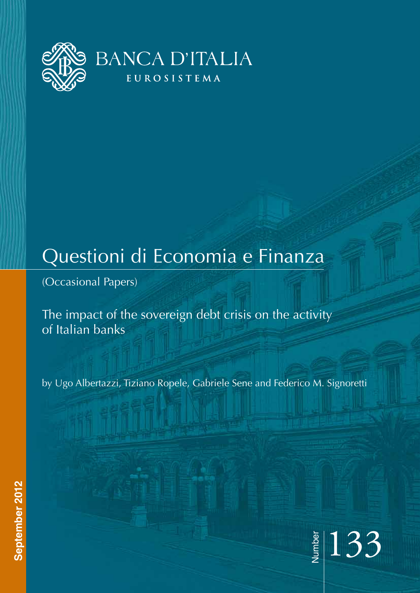

# Questioni di Economia e Finanza

(Occasional Papers)

The impact of the sovereign debt crisis on the activity of Italian banks

by Ugo Albertazzi, Tiziano Ropele, Gabriele Sene and Federico M. Signoretti



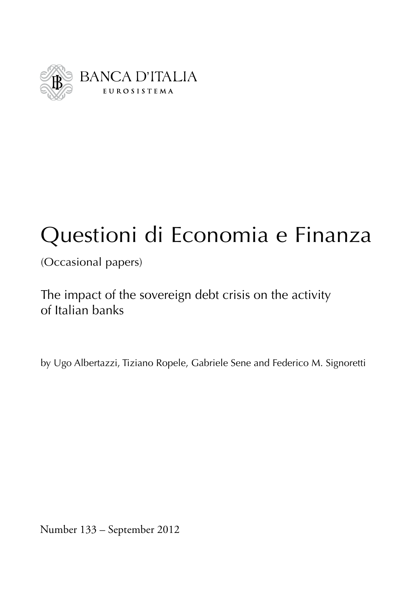

# Questioni di Economia e Finanza

(Occasional papers)

The impact of the sovereign debt crisis on the activity of Italian banks

by Ugo Albertazzi, Tiziano Ropele, Gabriele Sene and Federico M. Signoretti

Number 133 – September 2012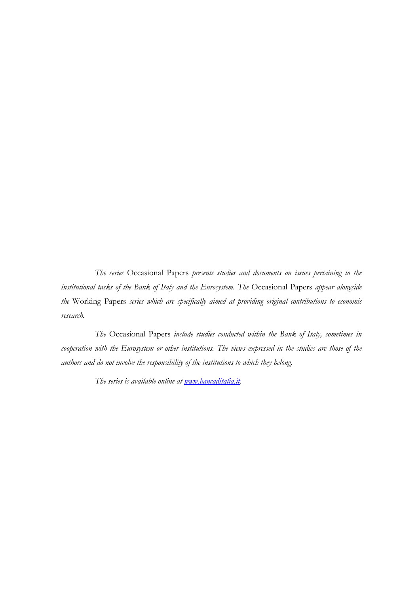*The series* Occasional Papers *presents studies and documents on issues pertaining to the institutional tasks of the Bank of Italy and the Eurosystem. The* Occasional Papers *appear alongside the* Working Papers *series which are specifically aimed at providing original contributions to economic research.* 

 *The* Occasional Papers *include studies conducted within the Bank of Italy, sometimes in cooperation with the Eurosystem or other institutions. The views expressed in the studies are those of the authors and do not involve the responsibility of the institutions to which they belong.* 

 *The series is available online at www.bancaditalia.it.*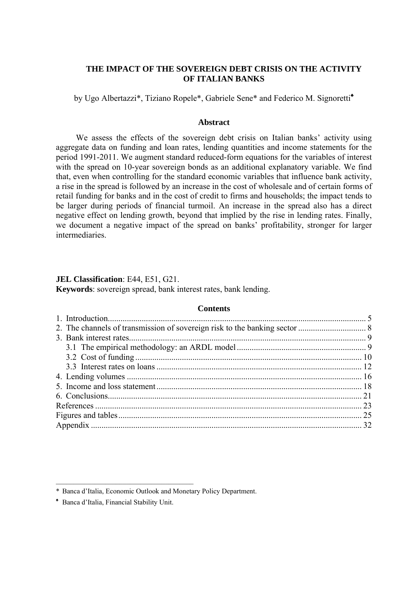# **THE IMPACT OF THE SOVEREIGN DEBT CRISIS ON THE ACTIVITY OF ITALIAN BANKS**

by Ugo Albertazzi\*, Tiziano Ropele\*, Gabriele Sene\* and Federico M. Signoretti<sup>\*</sup>

#### **Abstract**

We assess the effects of the sovereign debt crisis on Italian banks' activity using aggregate data on funding and loan rates, lending quantities and income statements for the period 1991-2011. We augment standard reduced-form equations for the variables of interest with the spread on 10-year sovereign bonds as an additional explanatory variable. We find that, even when controlling for the standard economic variables that influence bank activity, a rise in the spread is followed by an increase in the cost of wholesale and of certain forms of retail funding for banks and in the cost of credit to firms and households; the impact tends to be larger during periods of financial turmoil. An increase in the spread also has a direct negative effect on lending growth, beyond that implied by the rise in lending rates. Finally, we document a negative impact of the spread on banks' profitability, stronger for larger intermediaries.

#### **JEL Classification**: E44, E51, G21.

**Keywords**: sovereign spread, bank interest rates, bank lending.

 $\mathcal{L}_\text{max}$ 

<sup>\*</sup> Banca d'Italia, Economic Outlook and Monetary Policy Department.

<sup>♠</sup> Banca d'Italia, Financial Stability Unit.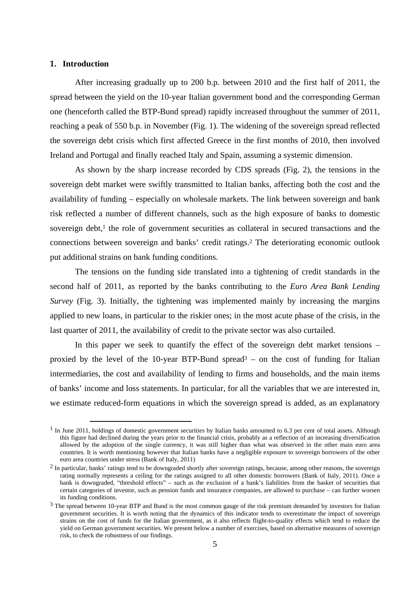#### **1. Introduction**

After increasing gradually up to 200 b.p. between 2010 and the first half of 2011, the spread between the yield on the 10-year Italian government bond and the corresponding German one (henceforth called the BTP-Bund spread) rapidly increased throughout the summer of 2011, reaching a peak of 550 b.p. in November (Fig. 1). The widening of the sovereign spread reflected the sovereign debt crisis which first affected Greece in the first months of 2010, then involved Ireland and Portugal and finally reached Italy and Spain, assuming a systemic dimension.

As shown by the sharp increase recorded by CDS spreads (Fig. 2), the tensions in the sovereign debt market were swiftly transmitted to Italian banks, affecting both the cost and the availability of funding – especially on wholesale markets. The link between sovereign and bank risk reflected a number of different channels, such as the high exposure of banks to domestic sovereign debt,<sup>1</sup> the role of government securities as collateral in secured transactions and the connections between sovereign and banks' credit ratings.2 The deteriorating economic outlook put additional strains on bank funding conditions.

The tensions on the funding side translated into a tightening of credit standards in the second half of 2011, as reported by the banks contributing to the *Euro Area Bank Lending Survey* (Fig. 3). Initially, the tightening was implemented mainly by increasing the margins applied to new loans, in particular to the riskier ones; in the most acute phase of the crisis, in the last quarter of 2011, the availability of credit to the private sector was also curtailed.

In this paper we seek to quantify the effect of the sovereign debt market tensions – proxied by the level of the 10-year BTP-Bund spread<sup>3</sup> – on the cost of funding for Italian intermediaries, the cost and availability of lending to firms and households, and the main items of banks' income and loss statements. In particular, for all the variables that we are interested in, we estimate reduced-form equations in which the sovereign spread is added, as an explanatory

 $<sup>1</sup>$  In June 2011, holdings of domestic government securities by Italian banks amounted to 6.3 per cent of total assets. Although</sup> this figure had declined during the years prior to the financial crisis, probably as a reflection of an increasing diversification allowed by the adoption of the single currency, it was still higher than what was observed in the other main euro area countries. It is worth mentioning however that Italian banks have a negligible exposure to sovereign borrowers of the other euro area countries under stress (Bank of Italy, 2011)

<sup>&</sup>lt;sup>2</sup> In particular, banks' ratings tend to be downgraded shortly after sovereign ratings, because, among other reasons, the sovereign rating normally represents a ceiling for the ratings assigned to all other domestic borrowers (Bank of Italy, 2011). Once a bank is downgraded, "threshold effects" – such as the exclusion of a bank's liabilities from the basket of securities that certain categories of investor, such as pension funds and insurance companies, are allowed to purchase – can further worsen its funding conditions.

<sup>&</sup>lt;sup>3</sup> The spread between 10-year BTP and Bund is the most common gauge of the risk premium demanded by investors for Italian government securities. It is worth noting that the dynamics of this indicator tends to overestimate the impact of sovereign strains on the cost of funds for the Italian government, as it also reflects flight-to-quality effects which tend to reduce the yield on German government securities. We present below a number of exercises, based on alternative measures of sovereign risk, to check the robustness of our findings.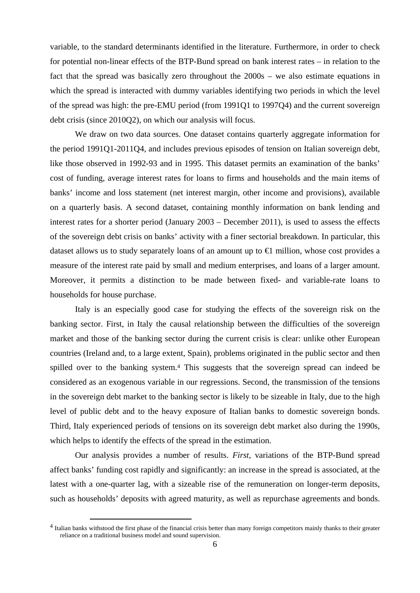variable, to the standard determinants identified in the literature. Furthermore, in order to check for potential non-linear effects of the BTP-Bund spread on bank interest rates – in relation to the fact that the spread was basically zero throughout the 2000s – we also estimate equations in which the spread is interacted with dummy variables identifying two periods in which the level of the spread was high: the pre-EMU period (from 1991Q1 to 1997Q4) and the current sovereign debt crisis (since 2010Q2), on which our analysis will focus.

We draw on two data sources. One dataset contains quarterly aggregate information for the period 1991Q1-2011Q4, and includes previous episodes of tension on Italian sovereign debt, like those observed in 1992-93 and in 1995. This dataset permits an examination of the banks' cost of funding, average interest rates for loans to firms and households and the main items of banks' income and loss statement (net interest margin, other income and provisions), available on a quarterly basis. A second dataset, containing monthly information on bank lending and interest rates for a shorter period (January 2003 – December 2011), is used to assess the effects of the sovereign debt crisis on banks' activity with a finer sectorial breakdown. In particular, this dataset allows us to study separately loans of an amount up to  $\bigoplus$  million, whose cost provides a measure of the interest rate paid by small and medium enterprises, and loans of a larger amount. Moreover, it permits a distinction to be made between fixed- and variable-rate loans to households for house purchase.

Italy is an especially good case for studying the effects of the sovereign risk on the banking sector. First, in Italy the causal relationship between the difficulties of the sovereign market and those of the banking sector during the current crisis is clear: unlike other European countries (Ireland and, to a large extent, Spain), problems originated in the public sector and then spilled over to the banking system.<sup>4</sup> This suggests that the sovereign spread can indeed be considered as an exogenous variable in our regressions. Second, the transmission of the tensions in the sovereign debt market to the banking sector is likely to be sizeable in Italy, due to the high level of public debt and to the heavy exposure of Italian banks to domestic sovereign bonds. Third, Italy experienced periods of tensions on its sovereign debt market also during the 1990s, which helps to identify the effects of the spread in the estimation.

Our analysis provides a number of results. *First*, variations of the BTP-Bund spread affect banks' funding cost rapidly and significantly: an increase in the spread is associated, at the latest with a one-quarter lag, with a sizeable rise of the remuneration on longer-term deposits, such as households' deposits with agreed maturity, as well as repurchase agreements and bonds.

<sup>&</sup>lt;sup>4</sup> Italian banks withstood the first phase of the financial crisis better than many foreign competitors mainly thanks to their greater reliance on a traditional business model and sound supervision.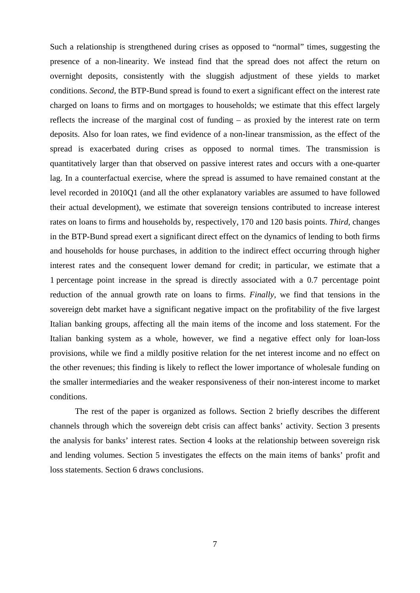Such a relationship is strengthened during crises as opposed to "normal" times, suggesting the presence of a non-linearity. We instead find that the spread does not affect the return on overnight deposits, consistently with the sluggish adjustment of these yields to market conditions. *Second,* the BTP-Bund spread is found to exert a significant effect on the interest rate charged on loans to firms and on mortgages to households; we estimate that this effect largely reflects the increase of the marginal cost of funding – as proxied by the interest rate on term deposits. Also for loan rates, we find evidence of a non-linear transmission, as the effect of the spread is exacerbated during crises as opposed to normal times. The transmission is quantitatively larger than that observed on passive interest rates and occurs with a one-quarter lag. In a counterfactual exercise, where the spread is assumed to have remained constant at the level recorded in 2010Q1 (and all the other explanatory variables are assumed to have followed their actual development), we estimate that sovereign tensions contributed to increase interest rates on loans to firms and households by, respectively, 170 and 120 basis points. *Third,* changes in the BTP-Bund spread exert a significant direct effect on the dynamics of lending to both firms and households for house purchases, in addition to the indirect effect occurring through higher interest rates and the consequent lower demand for credit; in particular, we estimate that a 1 percentage point increase in the spread is directly associated with a 0.7 percentage point reduction of the annual growth rate on loans to firms. *Finally*, we find that tensions in the sovereign debt market have a significant negative impact on the profitability of the five largest Italian banking groups, affecting all the main items of the income and loss statement. For the Italian banking system as a whole, however, we find a negative effect only for loan-loss provisions, while we find a mildly positive relation for the net interest income and no effect on the other revenues; this finding is likely to reflect the lower importance of wholesale funding on the smaller intermediaries and the weaker responsiveness of their non-interest income to market conditions.

The rest of the paper is organized as follows. Section 2 briefly describes the different channels through which the sovereign debt crisis can affect banks' activity. Section 3 presents the analysis for banks' interest rates. Section 4 looks at the relationship between sovereign risk and lending volumes. Section 5 investigates the effects on the main items of banks' profit and loss statements. Section 6 draws conclusions.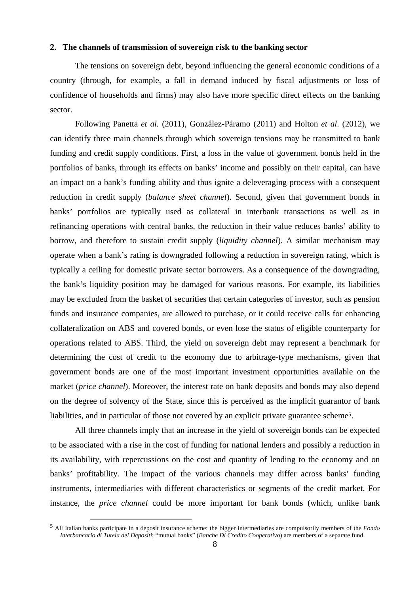#### **2. The channels of transmission of sovereign risk to the banking sector**

The tensions on sovereign debt, beyond influencing the general economic conditions of a country (through, for example, a fall in demand induced by fiscal adjustments or loss of confidence of households and firms) may also have more specific direct effects on the banking sector.

Following Panetta *et al.* (2011), González-Páramo (2011) and Holton *et al*. (2012), we can identify three main channels through which sovereign tensions may be transmitted to bank funding and credit supply conditions. First, a loss in the value of government bonds held in the portfolios of banks, through its effects on banks' income and possibly on their capital, can have an impact on a bank's funding ability and thus ignite a deleveraging process with a consequent reduction in credit supply (*balance sheet channel*). Second, given that government bonds in banks' portfolios are typically used as collateral in interbank transactions as well as in refinancing operations with central banks, the reduction in their value reduces banks' ability to borrow, and therefore to sustain credit supply (*liquidity channel*). A similar mechanism may operate when a bank's rating is downgraded following a reduction in sovereign rating, which is typically a ceiling for domestic private sector borrowers. As a consequence of the downgrading, the bank's liquidity position may be damaged for various reasons. For example, its liabilities may be excluded from the basket of securities that certain categories of investor, such as pension funds and insurance companies, are allowed to purchase, or it could receive calls for enhancing collateralization on ABS and covered bonds, or even lose the status of eligible counterparty for operations related to ABS. Third, the yield on sovereign debt may represent a benchmark for determining the cost of credit to the economy due to arbitrage-type mechanisms, given that government bonds are one of the most important investment opportunities available on the market (*price channel*). Moreover, the interest rate on bank deposits and bonds may also depend on the degree of solvency of the State, since this is perceived as the implicit guarantor of bank liabilities, and in particular of those not covered by an explicit private guarantee scheme<sup>5</sup>.

All three channels imply that an increase in the yield of sovereign bonds can be expected to be associated with a rise in the cost of funding for national lenders and possibly a reduction in its availability, with repercussions on the cost and quantity of lending to the economy and on banks' profitability. The impact of the various channels may differ across banks' funding instruments, intermediaries with different characteristics or segments of the credit market. For instance, the *price channel* could be more important for bank bonds (which, unlike bank

 <sup>5</sup> All Italian banks participate in a deposit insurance scheme: the bigger intermediaries are compulsorily members of the *Fondo Interbancario di Tutela dei Depositi*; "mutual banks" (*Banche Di Credito Cooperativo*) are members of a separate fund.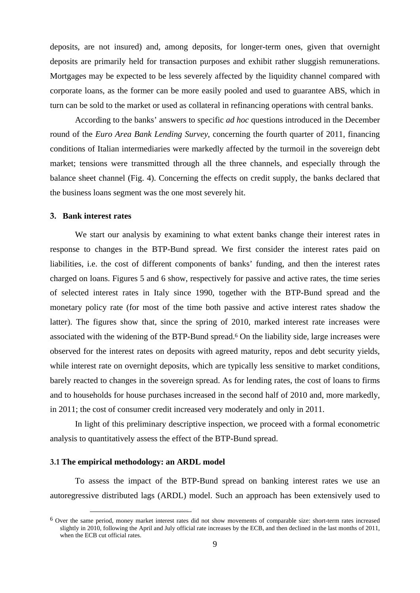deposits, are not insured) and, among deposits, for longer-term ones, given that overnight deposits are primarily held for transaction purposes and exhibit rather sluggish remunerations. Mortgages may be expected to be less severely affected by the liquidity channel compared with corporate loans, as the former can be more easily pooled and used to guarantee ABS, which in turn can be sold to the market or used as collateral in refinancing operations with central banks.

According to the banks' answers to specific *ad hoc* questions introduced in the December round of the *Euro Area Bank Lending Survey*, concerning the fourth quarter of 2011, financing conditions of Italian intermediaries were markedly affected by the turmoil in the sovereign debt market; tensions were transmitted through all the three channels, and especially through the balance sheet channel (Fig. 4). Concerning the effects on credit supply, the banks declared that the business loans segment was the one most severely hit.

# **3. Bank interest rates**

We start our analysis by examining to what extent banks change their interest rates in response to changes in the BTP-Bund spread. We first consider the interest rates paid on liabilities, i.e. the cost of different components of banks' funding, and then the interest rates charged on loans. Figures 5 and 6 show, respectively for passive and active rates, the time series of selected interest rates in Italy since 1990, together with the BTP-Bund spread and the monetary policy rate (for most of the time both passive and active interest rates shadow the latter). The figures show that, since the spring of 2010, marked interest rate increases were associated with the widening of the BTP-Bund spread.6 On the liability side, large increases were observed for the interest rates on deposits with agreed maturity, repos and debt security yields, while interest rate on overnight deposits, which are typically less sensitive to market conditions, barely reacted to changes in the sovereign spread. As for lending rates, the cost of loans to firms and to households for house purchases increased in the second half of 2010 and, more markedly, in 2011; the cost of consumer credit increased very moderately and only in 2011.

In light of this preliminary descriptive inspection, we proceed with a formal econometric analysis to quantitatively assess the effect of the BTP-Bund spread.

#### **3.1 The empirical methodology: an ARDL model**

To assess the impact of the BTP-Bund spread on banking interest rates we use an autoregressive distributed lags (ARDL) model. Such an approach has been extensively used to

 <sup>6</sup> Over the same period, money market interest rates did not show movements of comparable size: short-term rates increased slightly in 2010, following the April and July official rate increases by the ECB, and then declined in the last months of 2011, when the ECB cut official rates.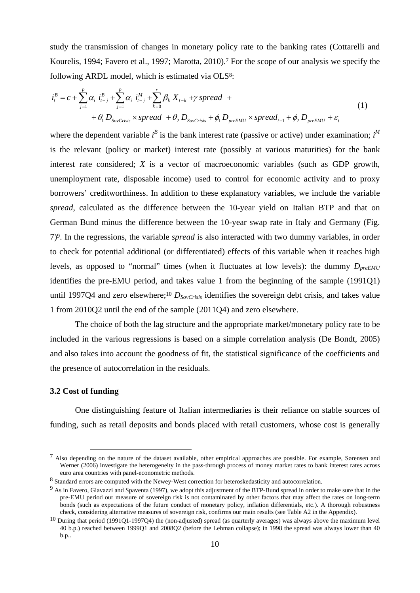study the transmission of changes in monetary policy rate to the banking rates (Cottarelli and Kourelis, 1994; Favero et al., 1997; Marotta, 2010).7 For the scope of our analysis we specify the following ARDL model, which is estimated via OLS<sup>8</sup>:

$$
i_t^B = c + \sum_{j=1}^p \alpha_i i_{t-j}^B + \sum_{j=1}^p \alpha_i i_{t-j}^M + \sum_{k=0}^r \beta_k X_{t-k} + \gamma \text{ spread } +
$$
  
+  $\theta_1 D_{\text{SovCrisis}} \times \text{spread } + \theta_2 D_{\text{SovCrisis}} + \phi_1 D_{\text{preEMU}} \times \text{spread}_{t-1} + \phi_2 D_{\text{preEMU}} + \varepsilon_t$  (1)

where the dependent variable  $i^B$  is the bank interest rate (passive or active) under examination;  $i^M$ is the relevant (policy or market) interest rate (possibly at various maturities) for the bank interest rate considered; *X* is a vector of macroeconomic variables (such as GDP growth, unemployment rate, disposable income) used to control for economic activity and to proxy borrowers' creditworthiness. In addition to these explanatory variables, we include the variable *spread*, calculated as the difference between the 10-year yield on Italian BTP and that on German Bund minus the difference between the 10-year swap rate in Italy and Germany (Fig. 7)9. In the regressions, the variable *spread* is also interacted with two dummy variables, in order to check for potential additional (or differentiated) effects of this variable when it reaches high levels, as opposed to "normal" times (when it fluctuates at low levels): the dummy  $D_{preFMI}$ identifies the pre-EMU period, and takes value 1 from the beginning of the sample (1991Q1) until 1997Q4 and zero elsewhere;<sup>10</sup>  $D_{SovCrisis}$  identifies the sovereign debt crisis, and takes value 1 from 2010Q2 until the end of the sample (2011Q4) and zero elsewhere.

The choice of both the lag structure and the appropriate market/monetary policy rate to be included in the various regressions is based on a simple correlation analysis (De Bondt, 2005) and also takes into account the goodness of fit, the statistical significance of the coefficients and the presence of autocorrelation in the residuals.

#### **3.2 Cost of funding**

One distinguishing feature of Italian intermediaries is their reliance on stable sources of funding, such as retail deposits and bonds placed with retail customers, whose cost is generally

 <sup>7</sup> Also depending on the nature of the dataset available, other empirical approaches are possible. For example, Sørensen and Werner (2006) investigate the heterogeneity in the pass-through process of money market rates to bank interest rates across euro area countries with panel-econometric methods.

<sup>8</sup> Standard errors are computed with the Newey-West correction for heteroskedasticity and autocorrelation.

<sup>9</sup> As in Favero, Giavazzi and Spaventa (1997), we adopt this adjustment of the BTP-Bund spread in order to make sure that in the pre-EMU period our measure of sovereign risk is not contaminated by other factors that may affect the rates on long-term bonds (such as expectations of the future conduct of monetary policy, inflation differentials, etc.). A thorough robustness check, considering alternative measures of sovereign risk, confirms our main results (see Table A2 in the Appendix).

 $10$  During that period (1991Q1-1997Q4) the (non-adjusted) spread (as quarterly averages) was always above the maximum level 40 b.p.) reached between 1999Q1 and 2008Q2 (before the Lehman collapse); in 1998 the spread was always lower than 40 b.p..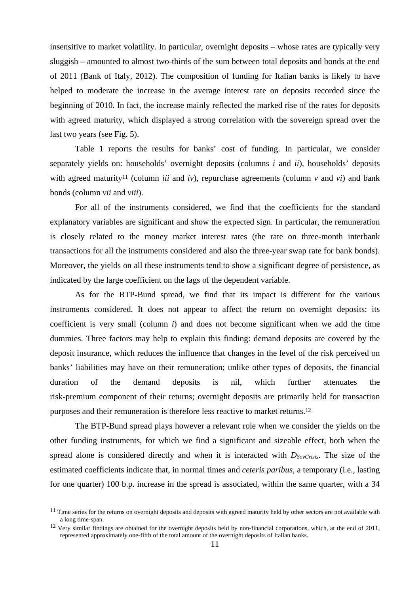insensitive to market volatility. In particular, overnight deposits – whose rates are typically very sluggish – amounted to almost two-thirds of the sum between total deposits and bonds at the end of 2011 (Bank of Italy, 2012). The composition of funding for Italian banks is likely to have helped to moderate the increase in the average interest rate on deposits recorded since the beginning of 2010. In fact, the increase mainly reflected the marked rise of the rates for deposits with agreed maturity, which displayed a strong correlation with the sovereign spread over the last two years (see Fig. 5).

Table 1 reports the results for banks' cost of funding. In particular, we consider separately yields on: households' overnight deposits (columns *i* and *ii*), households' deposits with agreed maturity<sup>11</sup> (column *iii* and *iv*), repurchase agreements (column *v* and *vi*) and bank bonds (column *vii* and *viii*).

For all of the instruments considered, we find that the coefficients for the standard explanatory variables are significant and show the expected sign. In particular, the remuneration is closely related to the money market interest rates (the rate on three-month interbank transactions for all the instruments considered and also the three-year swap rate for bank bonds). Moreover, the yields on all these instruments tend to show a significant degree of persistence, as indicated by the large coefficient on the lags of the dependent variable.

As for the BTP-Bund spread, we find that its impact is different for the various instruments considered. It does not appear to affect the return on overnight deposits: its coefficient is very small (column *i*) and does not become significant when we add the time dummies. Three factors may help to explain this finding: demand deposits are covered by the deposit insurance, which reduces the influence that changes in the level of the risk perceived on banks' liabilities may have on their remuneration; unlike other types of deposits, the financial duration of the demand deposits is nil, which further attenuates the risk-premium component of their returns; overnight deposits are primarily held for transaction purposes and their remuneration is therefore less reactive to market returns.12

The BTP-Bund spread plays however a relevant role when we consider the yields on the other funding instruments, for which we find a significant and sizeable effect, both when the spread alone is considered directly and when it is interacted with  $D_{SovCrisis}$ . The size of the estimated coefficients indicate that, in normal times and *ceteris paribus*, a temporary (i.e., lasting for one quarter) 100 b.p. increase in the spread is associated, within the same quarter, with a 34

<sup>&</sup>lt;sup>11</sup> Time series for the returns on overnight deposits and deposits with agreed maturity held by other sectors are not available with a long time-span.

<sup>&</sup>lt;sup>12</sup> Very similar findings are obtained for the overnight deposits held by non-financial corporations, which, at the end of 2011, represented approximately one-fifth of the total amount of the overnight deposits of Italian banks.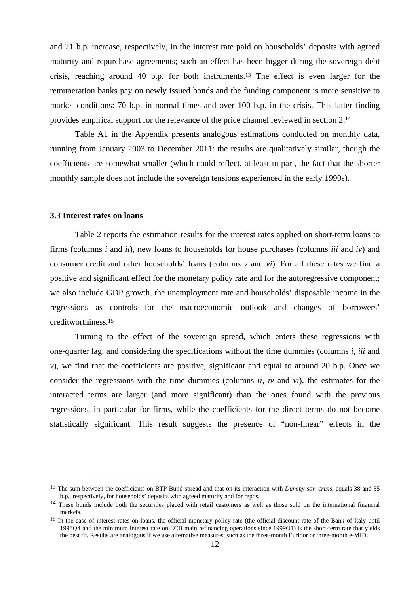and 21 b.p. increase, respectively, in the interest rate paid on households' deposits with agreed maturity and repurchase agreements; such an effect has been bigger during the sovereign debt crisis, reaching around 40 b.p. for both instruments.13 The effect is even larger for the remuneration banks pay on newly issued bonds and the funding component is more sensitive to market conditions: 70 b.p. in normal times and over 100 b.p. in the crisis. This latter finding provides empirical support for the relevance of the price channel reviewed in section 2.14

Table A1 in the Appendix presents analogous estimations conducted on monthly data, running from January 2003 to December 2011: the results are qualitatively similar, though the coefficients are somewhat smaller (which could reflect, at least in part, the fact that the shorter monthly sample does not include the sovereign tensions experienced in the early 1990s).

#### **3.3 Interest rates on loans**

Table 2 reports the estimation results for the interest rates applied on short-term loans to firms (columns *i* and *ii*), new loans to households for house purchases (columns *iii* and *iv*) and consumer credit and other households' loans (columns *v* and *vi*). For all these rates we find a positive and significant effect for the monetary policy rate and for the autoregressive component; we also include GDP growth, the unemployment rate and households' disposable income in the regressions as controls for the macroeconomic outlook and changes of borrowers' creditworthiness.15

Turning to the effect of the sovereign spread, which enters these regressions with one-quarter lag, and considering the specifications without the time dummies (columns *i*, *iii* and *v*), we find that the coefficients are positive, significant and equal to around 20 b.p. Once we consider the regressions with the time dummies (columns *ii*, *iv* and *vi*), the estimates for the interacted terms are larger (and more significant) than the ones found with the previous regressions, in particular for firms, while the coefficients for the direct terms do not become statistically significant. This result suggests the presence of "non-linear" effects in the

 <sup>13</sup> The sum between the coefficients on BTP-Bund spread and that on its interaction with *Dummy sov\_crisis*, equals 38 and 35 b.p., respectively, for households' deposits with agreed maturity and for repos.

<sup>&</sup>lt;sup>14</sup> These bonds include both the securities placed with retail customers as well as those sold on the international financial markets.

<sup>&</sup>lt;sup>15</sup> In the case of interest rates on loans, the official monetary policy rate (the official discount rate of the Bank of Italy until 1998Q4 and the minimum interest rate on ECB main refinancing operations since 1999Q1) is the short-term rate that yields the best fit. Results are analogous if we use alternative measures, such as the three-month Euribor or three-month e-MID.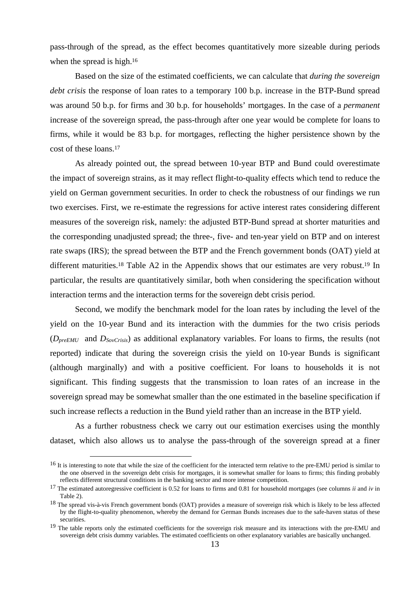pass-through of the spread, as the effect becomes quantitatively more sizeable during periods when the spread is high.<sup>16</sup>

Based on the size of the estimated coefficients, we can calculate that *during the sovereign debt crisis* the response of loan rates to a temporary 100 b.p. increase in the BTP-Bund spread was around 50 b.p. for firms and 30 b.p. for households' mortgages. In the case of a *permanent* increase of the sovereign spread, the pass-through after one year would be complete for loans to firms, while it would be 83 b.p. for mortgages, reflecting the higher persistence shown by the cost of these loans.17

As already pointed out, the spread between 10-year BTP and Bund could overestimate the impact of sovereign strains, as it may reflect flight-to-quality effects which tend to reduce the yield on German government securities. In order to check the robustness of our findings we run two exercises. First, we re-estimate the regressions for active interest rates considering different measures of the sovereign risk, namely: the adjusted BTP-Bund spread at shorter maturities and the corresponding unadjusted spread; the three-, five- and ten-year yield on BTP and on interest rate swaps (IRS); the spread between the BTP and the French government bonds (OAT) yield at different maturities.<sup>18</sup> Table A2 in the Appendix shows that our estimates are very robust.<sup>19</sup> In particular, the results are quantitatively similar, both when considering the specification without interaction terms and the interaction terms for the sovereign debt crisis period.

Second, we modify the benchmark model for the loan rates by including the level of the yield on the 10-year Bund and its interaction with the dummies for the two crisis periods (*DpreEMU* and *DSovCrisis*) as additional explanatory variables. For loans to firms, the results (not reported) indicate that during the sovereign crisis the yield on 10-year Bunds is significant (although marginally) and with a positive coefficient. For loans to households it is not significant. This finding suggests that the transmission to loan rates of an increase in the sovereign spread may be somewhat smaller than the one estimated in the baseline specification if such increase reflects a reduction in the Bund yield rather than an increase in the BTP yield.

As a further robustness check we carry out our estimation exercises using the monthly dataset, which also allows us to analyse the pass-through of the sovereign spread at a finer

 $16$  It is interesting to note that while the size of the coefficient for the interacted term relative to the pre-EMU period is similar to the one observed in the sovereign debt crisis for mortgages, it is somewhat smaller for loans to firms; this finding probably reflects different structural conditions in the banking sector and more intense competition.

<sup>17</sup> The estimated autoregressive coefficient is 0.52 for loans to firms and 0.81 for household mortgages (see columns *ii* and *iv* in Table 2).

<sup>&</sup>lt;sup>18</sup> The spread vis-à-vis French government bonds (OAT) provides a measure of sovereign risk which is likely to be less affected by the flight-to-quality phenomenon, whereby the demand for German Bunds increases due to the safe-haven status of these securities.

<sup>&</sup>lt;sup>19</sup> The table reports only the estimated coefficients for the sovereign risk measure and its interactions with the pre-EMU and sovereign debt crisis dummy variables. The estimated coefficients on other explanatory variables are basically unchanged.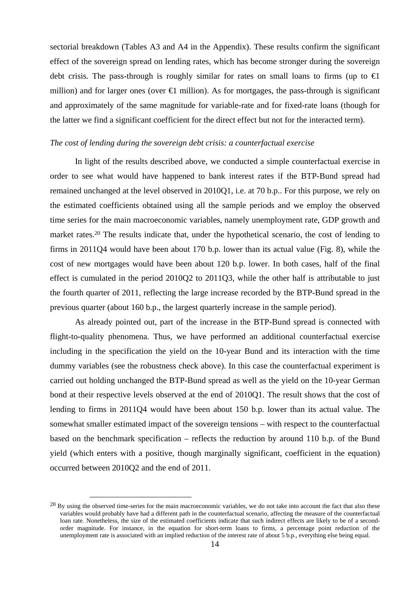sectorial breakdown (Tables A3 and A4 in the Appendix). These results confirm the significant effect of the sovereign spread on lending rates, which has become stronger during the sovereign debt crisis. The pass-through is roughly similar for rates on small loans to firms (up to  $\bigoplus$ million) and for larger ones (over  $\bigoplus$  million). As for mortgages, the pass-through is significant and approximately of the same magnitude for variable-rate and for fixed-rate loans (though for the latter we find a significant coefficient for the direct effect but not for the interacted term).

# *The cost of lending during the sovereign debt crisis: a counterfactual exercise*

In light of the results described above, we conducted a simple counterfactual exercise in order to see what would have happened to bank interest rates if the BTP-Bund spread had remained unchanged at the level observed in 2010Q1, i.e. at 70 b.p.. For this purpose, we rely on the estimated coefficients obtained using all the sample periods and we employ the observed time series for the main macroeconomic variables, namely unemployment rate, GDP growth and market rates.20 The results indicate that, under the hypothetical scenario, the cost of lending to firms in 2011Q4 would have been about 170 b.p. lower than its actual value (Fig. 8), while the cost of new mortgages would have been about 120 b.p. lower. In both cases, half of the final effect is cumulated in the period 2010Q2 to 2011Q3, while the other half is attributable to just the fourth quarter of 2011, reflecting the large increase recorded by the BTP-Bund spread in the previous quarter (about 160 b.p., the largest quarterly increase in the sample period).

As already pointed out, part of the increase in the BTP-Bund spread is connected with flight-to-quality phenomena. Thus, we have performed an additional counterfactual exercise including in the specification the yield on the 10-year Bund and its interaction with the time dummy variables (see the robustness check above). In this case the counterfactual experiment is carried out holding unchanged the BTP-Bund spread as well as the yield on the 10-year German bond at their respective levels observed at the end of 2010Q1. The result shows that the cost of lending to firms in 2011Q4 would have been about 150 b.p. lower than its actual value. The somewhat smaller estimated impact of the sovereign tensions – with respect to the counterfactual based on the benchmark specification – reflects the reduction by around 110 b.p. of the Bund yield (which enters with a positive, though marginally significant, coefficient in the equation) occurred between 2010Q2 and the end of 2011.

 $^{20}$  By using the observed time-series for the main macroeconomic variables, we do not take into account the fact that also these variables would probably have had a different path in the counterfactual scenario, affecting the measure of the counterfactual loan rate. Nonetheless, the size of the estimated coefficients indicate that such indirect effects are likely to be of a secondorder magnitude. For instance, in the equation for short-term loans to firms, a percentage point reduction of the unemployment rate is associated with an implied reduction of the interest rate of about 5 b.p., everything else being equal.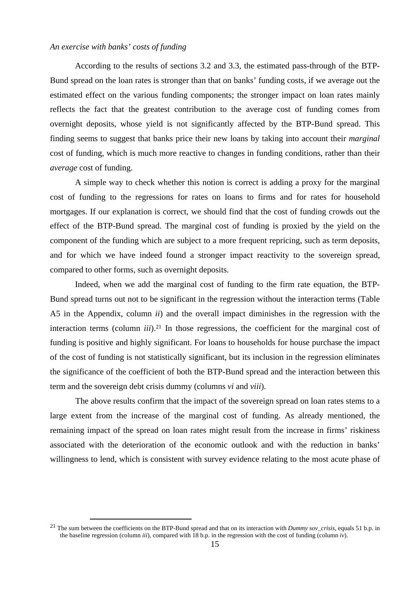#### *An exercise with banks' costs of funding*

According to the results of sections 3.2 and 3.3, the estimated pass-through of the BTP-Bund spread on the loan rates is stronger than that on banks' funding costs, if we average out the estimated effect on the various funding components; the stronger impact on loan rates mainly reflects the fact that the greatest contribution to the average cost of funding comes from overnight deposits, whose yield is not significantly affected by the BTP-Bund spread. This finding seems to suggest that banks price their new loans by taking into account their *marginal* cost of funding, which is much more reactive to changes in funding conditions, rather than their *average* cost of funding.

A simple way to check whether this notion is correct is adding a proxy for the marginal cost of funding to the regressions for rates on loans to firms and for rates for household mortgages. If our explanation is correct, we should find that the cost of funding crowds out the effect of the BTP-Bund spread. The marginal cost of funding is proxied by the yield on the component of the funding which are subject to a more frequent repricing, such as term deposits, and for which we have indeed found a stronger impact reactivity to the sovereign spread, compared to other forms, such as overnight deposits.

Indeed, when we add the marginal cost of funding to the firm rate equation, the BTP-Bund spread turns out not to be significant in the regression without the interaction terms (Table A5 in the Appendix, column *ii*) and the overall impact diminishes in the regression with the interaction terms (column *iii*).<sup>21</sup> In those regressions, the coefficient for the marginal cost of funding is positive and highly significant. For loans to households for house purchase the impact of the cost of funding is not statistically significant, but its inclusion in the regression eliminates the significance of the coefficient of both the BTP-Bund spread and the interaction between this term and the sovereign debt crisis dummy (columns *vi* and *viii*).

The above results confirm that the impact of the sovereign spread on loan rates stems to a large extent from the increase of the marginal cost of funding. As already mentioned, the remaining impact of the spread on loan rates might result from the increase in firms' riskiness associated with the deterioration of the economic outlook and with the reduction in banks' willingness to lend, which is consistent with survey evidence relating to the most acute phase of

 <sup>21</sup> The sum between the coefficients on the BTP-Bund spread and that on its interaction with *Dummy sov\_crisis*, equals 51 b.p. in the baseline regression (column *iii*), compared with 18 b.p. in the regression with the cost of funding (column *iv*).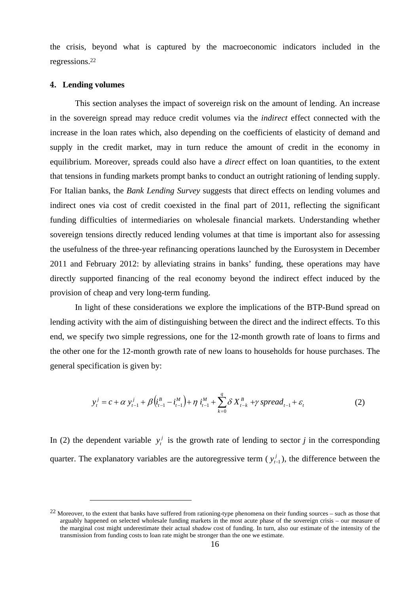the crisis, beyond what is captured by the macroeconomic indicators included in the regressions.22

#### **4. Lending volumes**

 $\overline{a}$ 

This section analyses the impact of sovereign risk on the amount of lending. An increase in the sovereign spread may reduce credit volumes via the *indirect* effect connected with the increase in the loan rates which, also depending on the coefficients of elasticity of demand and supply in the credit market, may in turn reduce the amount of credit in the economy in equilibrium. Moreover, spreads could also have a *direct* effect on loan quantities, to the extent that tensions in funding markets prompt banks to conduct an outright rationing of lending supply. For Italian banks, the *Bank Lending Survey* suggests that direct effects on lending volumes and indirect ones via cost of credit coexisted in the final part of 2011, reflecting the significant funding difficulties of intermediaries on wholesale financial markets. Understanding whether sovereign tensions directly reduced lending volumes at that time is important also for assessing the usefulness of the three-year refinancing operations launched by the Eurosystem in December 2011 and February 2012: by alleviating strains in banks' funding, these operations may have directly supported financing of the real economy beyond the indirect effect induced by the provision of cheap and very long-term funding.

In light of these considerations we explore the implications of the BTP-Bund spread on lending activity with the aim of distinguishing between the direct and the indirect effects. To this end, we specify two simple regressions, one for the 12-month growth rate of loans to firms and the other one for the 12-month growth rate of new loans to households for house purchases. The general specification is given by:

$$
y_t^j = c + \alpha y_{t-1}^j + \beta \left( i_{t-1}^B - i_{t-1}^M \right) + \eta i_{t-1}^M + \sum_{k=0}^q \delta X_{t-k}^B + \gamma \, spread_{t-1} + \varepsilon_t \tag{2}
$$

In (2) the dependent variable  $y_t^j$  is the growth rate of lending to sector *j* in the corresponding quarter. The explanatory variables are the autoregressive term  $(y_{t-1}^j)$ , the difference between the

<sup>22</sup> Moreover, to the extent that banks have suffered from rationing-type phenomena on their funding sources – such as those that arguably happened on selected wholesale funding markets in the most acute phase of the sovereign crisis – our measure of the marginal cost might underestimate their actual *shadow* cost of funding. In turn, also our estimate of the intensity of the transmission from funding costs to loan rate might be stronger than the one we estimate.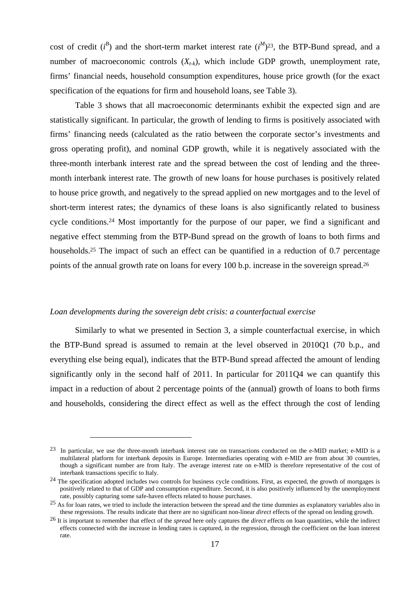cost of credit  $(i^B)$  and the short-term market interest rate  $(i^M)^{23}$ , the BTP-Bund spread, and a number of macroeconomic controls  $(X_{t-k})$ , which include GDP growth, unemployment rate, firms' financial needs, household consumption expenditures, house price growth (for the exact specification of the equations for firm and household loans, see Table 3).

Table 3 shows that all macroeconomic determinants exhibit the expected sign and are statistically significant. In particular, the growth of lending to firms is positively associated with firms' financing needs (calculated as the ratio between the corporate sector's investments and gross operating profit), and nominal GDP growth, while it is negatively associated with the three-month interbank interest rate and the spread between the cost of lending and the threemonth interbank interest rate. The growth of new loans for house purchases is positively related to house price growth, and negatively to the spread applied on new mortgages and to the level of short-term interest rates; the dynamics of these loans is also significantly related to business cycle conditions.24 Most importantly for the purpose of our paper, we find a significant and negative effect stemming from the BTP-Bund spread on the growth of loans to both firms and households.<sup>25</sup> The impact of such an effect can be quantified in a reduction of 0.7 percentage points of the annual growth rate on loans for every 100 b.p. increase in the sovereign spread.26

#### *Loan developments during the sovereign debt crisis: a counterfactual exercise*

 $\overline{a}$ 

Similarly to what we presented in Section 3, a simple counterfactual exercise, in which the BTP-Bund spread is assumed to remain at the level observed in 2010Q1 (70 b.p., and everything else being equal), indicates that the BTP-Bund spread affected the amount of lending significantly only in the second half of 2011. In particular for 2011Q4 we can quantify this impact in a reduction of about 2 percentage points of the (annual) growth of loans to both firms and households, considering the direct effect as well as the effect through the cost of lending

 $23$  In particular, we use the three-month interbank interest rate on transactions conducted on the e-MID market; e-MID is a multilateral platform for interbank deposits in Europe. Intermediaries operating with e-MID are from about 30 countries, though a significant number are from Italy. The average interest rate on e-MID is therefore representative of the cost of interbank transactions specific to Italy.

<sup>&</sup>lt;sup>24</sup> The specification adopted includes two controls for business cycle conditions. First, as expected, the growth of mortgages is positively related to that of GDP and consumption expenditure. Second, it is also positively influenced by the unemployment rate, possibly capturing some safe-haven effects related to house purchases.

<sup>&</sup>lt;sup>25</sup> As for loan rates, we tried to include the interaction between the spread and the time dummies as explanatory variables also in these regressions. The results indicate that there are no significant non-linear *direct* effects of the spread on lending growth.

<sup>26</sup> It is important to remember that effect of the *spread* here only captures the *direct* effects on loan quantities, while the indirect effects connected with the increase in lending rates is captured, in the regression, through the coefficient on the loan interest rate.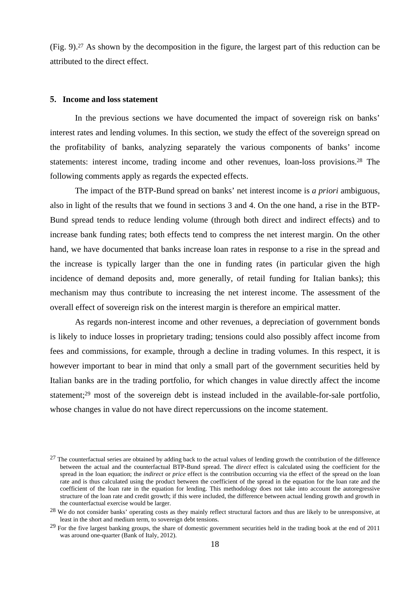(Fig. 9).27 As shown by the decomposition in the figure, the largest part of this reduction can be attributed to the direct effect.

#### **5. Income and loss statement**

In the previous sections we have documented the impact of sovereign risk on banks' interest rates and lending volumes. In this section, we study the effect of the sovereign spread on the profitability of banks, analyzing separately the various components of banks' income statements: interest income, trading income and other revenues, loan-loss provisions.28 The following comments apply as regards the expected effects.

The impact of the BTP-Bund spread on banks' net interest income is *a priori* ambiguous, also in light of the results that we found in sections 3 and 4. On the one hand, a rise in the BTP-Bund spread tends to reduce lending volume (through both direct and indirect effects) and to increase bank funding rates; both effects tend to compress the net interest margin. On the other hand, we have documented that banks increase loan rates in response to a rise in the spread and the increase is typically larger than the one in funding rates (in particular given the high incidence of demand deposits and, more generally, of retail funding for Italian banks); this mechanism may thus contribute to increasing the net interest income. The assessment of the overall effect of sovereign risk on the interest margin is therefore an empirical matter.

As regards non-interest income and other revenues, a depreciation of government bonds is likely to induce losses in proprietary trading; tensions could also possibly affect income from fees and commissions, for example, through a decline in trading volumes. In this respect, it is however important to bear in mind that only a small part of the government securities held by Italian banks are in the trading portfolio, for which changes in value directly affect the income statement;29 most of the sovereign debt is instead included in the available-for-sale portfolio, whose changes in value do not have direct repercussions on the income statement.

 $^{27}$  The counterfactual series are obtained by adding back to the actual values of lending growth the contribution of the difference between the actual and the counterfactual BTP-Bund spread. The *direct* effect is calculated using the coefficient for the spread in the loan equation; the *indirect* or *price* effect is the contribution occurring via the effect of the spread on the loan rate and is thus calculated using the product between the coefficient of the spread in the equation for the loan rate and the coefficient of the loan rate in the equation for lending. This methodology does not take into account the autoregressive structure of the loan rate and credit growth; if this were included, the difference between actual lending growth and growth in the counterfactual exercise would be larger.

<sup>&</sup>lt;sup>28</sup> We do not consider banks' operating costs as they mainly reflect structural factors and thus are likely to be unresponsive, at least in the short and medium term, to sovereign debt tensions.

<sup>&</sup>lt;sup>29</sup> For the five largest banking groups, the share of domestic government securities held in the trading book at the end of 2011 was around one-quarter (Bank of Italy, 2012).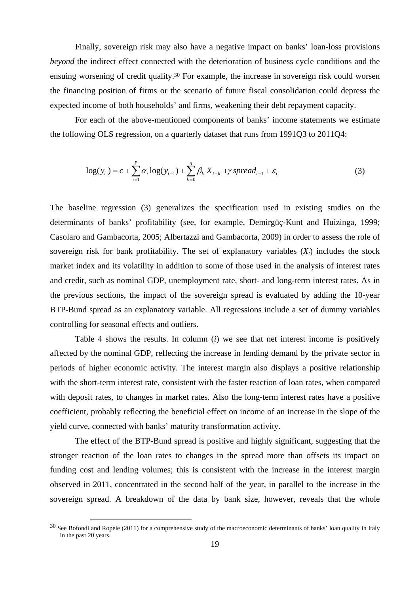Finally, sovereign risk may also have a negative impact on banks' loan-loss provisions *beyond* the indirect effect connected with the deterioration of business cycle conditions and the ensuing worsening of credit quality.30 For example, the increase in sovereign risk could worsen the financing position of firms or the scenario of future fiscal consolidation could depress the expected income of both households' and firms, weakening their debt repayment capacity.

For each of the above-mentioned components of banks' income statements we estimate the following OLS regression, on a quarterly dataset that runs from 1991Q3 to 2011Q4:

$$
\log(y_t) = c + \sum_{i=1}^{P} \alpha_i \log(y_{t-1}) + \sum_{k=0}^{q} \beta_k X_{t-k} + \gamma \, spread_{t-1} + \varepsilon_t \tag{3}
$$

The baseline regression (3) generalizes the specification used in existing studies on the determinants of banks' profitability (see, for example, Demirgüç-Kunt and Huizinga, 1999; Casolaro and Gambacorta, 2005; Albertazzi and Gambacorta, 2009) in order to assess the role of sovereign risk for bank profitability. The set of explanatory variables  $(X_t)$  includes the stock market index and its volatility in addition to some of those used in the analysis of interest rates and credit, such as nominal GDP, unemployment rate, short- and long-term interest rates. As in the previous sections, the impact of the sovereign spread is evaluated by adding the 10-year BTP-Bund spread as an explanatory variable. All regressions include a set of dummy variables controlling for seasonal effects and outliers.

Table 4 shows the results. In column (*i*) we see that net interest income is positively affected by the nominal GDP, reflecting the increase in lending demand by the private sector in periods of higher economic activity. The interest margin also displays a positive relationship with the short-term interest rate, consistent with the faster reaction of loan rates, when compared with deposit rates, to changes in market rates. Also the long-term interest rates have a positive coefficient, probably reflecting the beneficial effect on income of an increase in the slope of the yield curve, connected with banks' maturity transformation activity.

The effect of the BTP-Bund spread is positive and highly significant, suggesting that the stronger reaction of the loan rates to changes in the spread more than offsets its impact on funding cost and lending volumes; this is consistent with the increase in the interest margin observed in 2011, concentrated in the second half of the year, in parallel to the increase in the sovereign spread. A breakdown of the data by bank size, however, reveals that the whole

 $30$  See Bofondi and Ropele (2011) for a comprehensive study of the macroeconomic determinants of banks' loan quality in Italy in the past 20 years.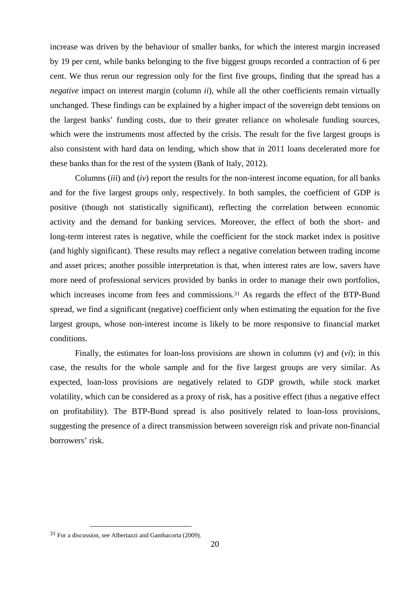increase was driven by the behaviour of smaller banks, for which the interest margin increased by 19 per cent, while banks belonging to the five biggest groups recorded a contraction of 6 per cent. We thus rerun our regression only for the first five groups, finding that the spread has a *negative* impact on interest margin (column *ii*), while all the other coefficients remain virtually unchanged. These findings can be explained by a higher impact of the sovereign debt tensions on the largest banks' funding costs, due to their greater reliance on wholesale funding sources, which were the instruments most affected by the crisis. The result for the five largest groups is also consistent with hard data on lending, which show that in 2011 loans decelerated more for these banks than for the rest of the system (Bank of Italy, 2012).

Columns (*iii*) and (*iv*) report the results for the non-interest income equation, for all banks and for the five largest groups only, respectively. In both samples, the coefficient of GDP is positive (though not statistically significant), reflecting the correlation between economic activity and the demand for banking services. Moreover, the effect of both the short- and long-term interest rates is negative, while the coefficient for the stock market index is positive (and highly significant). These results may reflect a negative correlation between trading income and asset prices; another possible interpretation is that, when interest rates are low, savers have more need of professional services provided by banks in order to manage their own portfolios, which increases income from fees and commissions.<sup>31</sup> As regards the effect of the BTP-Bund spread, we find a significant (negative) coefficient only when estimating the equation for the five largest groups, whose non-interest income is likely to be more responsive to financial market conditions.

Finally, the estimates for loan-loss provisions are shown in columns  $(v)$  and  $(vi)$ ; in this case, the results for the whole sample and for the five largest groups are very similar. As expected, loan-loss provisions are negatively related to GDP growth, while stock market volatility, which can be considered as a proxy of risk, has a positive effect (thus a negative effect on profitability). The BTP-Bund spread is also positively related to loan-loss provisions, suggesting the presence of a direct transmission between sovereign risk and private non-financial borrowers' risk.

 <sup>31</sup> For a discussion, see Albertazzi and Gambacorta (2009).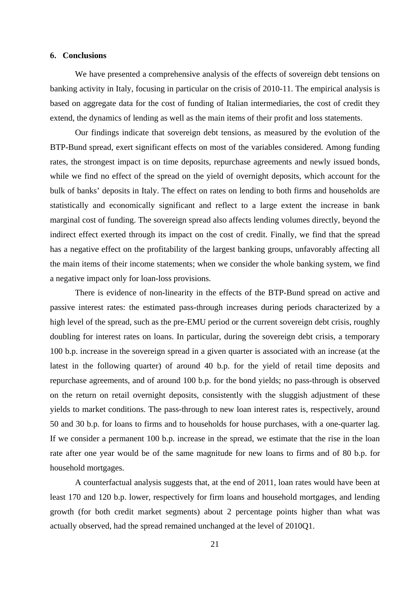#### **6. Conclusions**

We have presented a comprehensive analysis of the effects of sovereign debt tensions on banking activity in Italy, focusing in particular on the crisis of 2010-11. The empirical analysis is based on aggregate data for the cost of funding of Italian intermediaries, the cost of credit they extend, the dynamics of lending as well as the main items of their profit and loss statements.

Our findings indicate that sovereign debt tensions, as measured by the evolution of the BTP-Bund spread, exert significant effects on most of the variables considered. Among funding rates, the strongest impact is on time deposits, repurchase agreements and newly issued bonds, while we find no effect of the spread on the yield of overnight deposits, which account for the bulk of banks' deposits in Italy. The effect on rates on lending to both firms and households are statistically and economically significant and reflect to a large extent the increase in bank marginal cost of funding. The sovereign spread also affects lending volumes directly, beyond the indirect effect exerted through its impact on the cost of credit. Finally, we find that the spread has a negative effect on the profitability of the largest banking groups, unfavorably affecting all the main items of their income statements; when we consider the whole banking system, we find a negative impact only for loan-loss provisions.

There is evidence of non-linearity in the effects of the BTP-Bund spread on active and passive interest rates: the estimated pass-through increases during periods characterized by a high level of the spread, such as the pre-EMU period or the current sovereign debt crisis, roughly doubling for interest rates on loans. In particular, during the sovereign debt crisis, a temporary 100 b.p. increase in the sovereign spread in a given quarter is associated with an increase (at the latest in the following quarter) of around 40 b.p. for the yield of retail time deposits and repurchase agreements, and of around 100 b.p. for the bond yields; no pass-through is observed on the return on retail overnight deposits, consistently with the sluggish adjustment of these yields to market conditions. The pass-through to new loan interest rates is, respectively, around 50 and 30 b.p. for loans to firms and to households for house purchases, with a one-quarter lag. If we consider a permanent 100 b.p. increase in the spread, we estimate that the rise in the loan rate after one year would be of the same magnitude for new loans to firms and of 80 b.p. for household mortgages.

A counterfactual analysis suggests that, at the end of 2011, loan rates would have been at least 170 and 120 b.p. lower, respectively for firm loans and household mortgages, and lending growth (for both credit market segments) about 2 percentage points higher than what was actually observed, had the spread remained unchanged at the level of 2010Q1.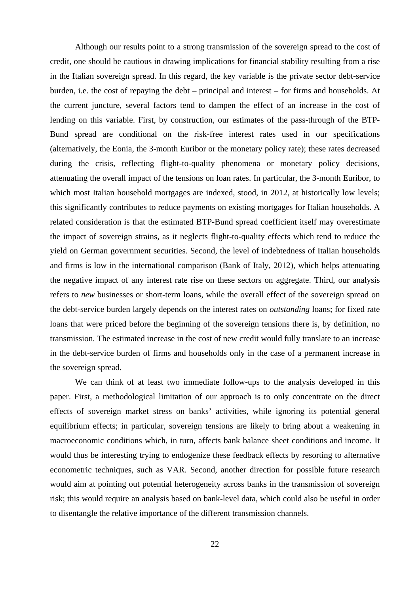Although our results point to a strong transmission of the sovereign spread to the cost of credit, one should be cautious in drawing implications for financial stability resulting from a rise in the Italian sovereign spread. In this regard, the key variable is the private sector debt-service burden, i.e. the cost of repaying the debt – principal and interest – for firms and households. At the current juncture, several factors tend to dampen the effect of an increase in the cost of lending on this variable. First, by construction, our estimates of the pass-through of the BTP-Bund spread are conditional on the risk-free interest rates used in our specifications (alternatively, the Eonia, the 3-month Euribor or the monetary policy rate); these rates decreased during the crisis, reflecting flight-to-quality phenomena or monetary policy decisions, attenuating the overall impact of the tensions on loan rates. In particular, the 3-month Euribor, to which most Italian household mortgages are indexed, stood, in 2012, at historically low levels; this significantly contributes to reduce payments on existing mortgages for Italian households. A related consideration is that the estimated BTP-Bund spread coefficient itself may overestimate the impact of sovereign strains, as it neglects flight-to-quality effects which tend to reduce the yield on German government securities. Second, the level of indebtedness of Italian households and firms is low in the international comparison (Bank of Italy, 2012), which helps attenuating the negative impact of any interest rate rise on these sectors on aggregate. Third, our analysis refers to *new* businesses or short-term loans, while the overall effect of the sovereign spread on the debt-service burden largely depends on the interest rates on *outstanding* loans; for fixed rate loans that were priced before the beginning of the sovereign tensions there is, by definition, no transmission. The estimated increase in the cost of new credit would fully translate to an increase in the debt-service burden of firms and households only in the case of a permanent increase in the sovereign spread.

We can think of at least two immediate follow-ups to the analysis developed in this paper. First, a methodological limitation of our approach is to only concentrate on the direct effects of sovereign market stress on banks' activities, while ignoring its potential general equilibrium effects; in particular, sovereign tensions are likely to bring about a weakening in macroeconomic conditions which, in turn, affects bank balance sheet conditions and income. It would thus be interesting trying to endogenize these feedback effects by resorting to alternative econometric techniques, such as VAR. Second, another direction for possible future research would aim at pointing out potential heterogeneity across banks in the transmission of sovereign risk; this would require an analysis based on bank-level data, which could also be useful in order to disentangle the relative importance of the different transmission channels.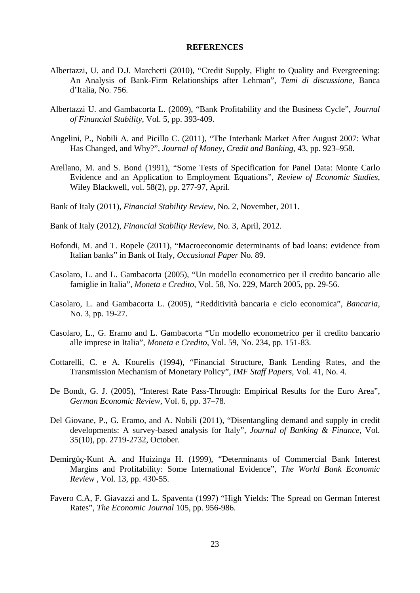#### **REFERENCES**

- Albertazzi, U. and D.J. Marchetti (2010), "Credit Supply, Flight to Quality and Evergreening: An Analysis of Bank-Firm Relationships after Lehman", *Temi di discussione*, Banca d'Italia, No. 756.
- Albertazzi U. and Gambacorta L. (2009), "Bank Profitability and the Business Cycle", *Journal of Financial Stability*, Vol. 5, pp. 393-409.
- Angelini, P., Nobili A. and Picillo C. (2011), "The Interbank Market After August 2007: What Has Changed, and Why?", *Journal of Money, Credit and Banking*, 43, pp. 923–958.
- Arellano, M. and S. Bond (1991), "Some Tests of Specification for Panel Data: Monte Carlo Evidence and an Application to Employment Equations", *Review of Economic Studies*, Wiley Blackwell, vol. 58(2), pp. 277-97, April.
- Bank of Italy (2011), *Financial Stability Review*, No. 2, November, 2011.
- Bank of Italy (2012), *Financial Stability Review*, No. 3, April, 2012.
- Bofondi, M. and T. Ropele (2011), "Macroeconomic determinants of bad loans: evidence from Italian banks" in Bank of Italy, *Occasional Paper* No. 89.
- Casolaro, L. and L. Gambacorta (2005), "Un modello econometrico per il credito bancario alle famiglie in Italia", *Moneta e Credito*, Vol. 58, No. 229, March 2005, pp. 29-56.
- Casolaro, L. and Gambacorta L. (2005), "Redditività bancaria e ciclo economica", *Bancaria*, No. 3, pp. 19-27.
- Casolaro, L., G. Eramo and L. Gambacorta "Un modello econometrico per il credito bancario alle imprese in Italia", *Moneta e Credito*, Vol. 59, No. 234, pp. 151-83.
- Cottarelli, C. e A. Kourelis (1994), "Financial Structure, Bank Lending Rates, and the Transmission Mechanism of Monetary Policy", *IMF Staff Papers*, Vol. 41, No. 4.
- De Bondt, G. J. (2005), "Interest Rate Pass-Through: Empirical Results for the Euro Area", *German Economic Review*, Vol. 6, pp. 37–78.
- Del Giovane, P., G. Eramo, and A. Nobili (2011), "Disentangling demand and supply in credit developments: A survey-based analysis for Italy", *Journal of Banking & Finance*, Vol. 35(10), pp. 2719-2732, October.
- Demirgüç-Kunt A. and Huizinga H. (1999), "Determinants of Commercial Bank Interest Margins and Profitability: Some International Evidence", *The World Bank Economic Review* , Vol. 13, pp. 430-55.
- Favero C.A, F. Giavazzi and L. Spaventa (1997) "High Yields: The Spread on German Interest Rates", *The Economic Journal* 105, pp. 956-986.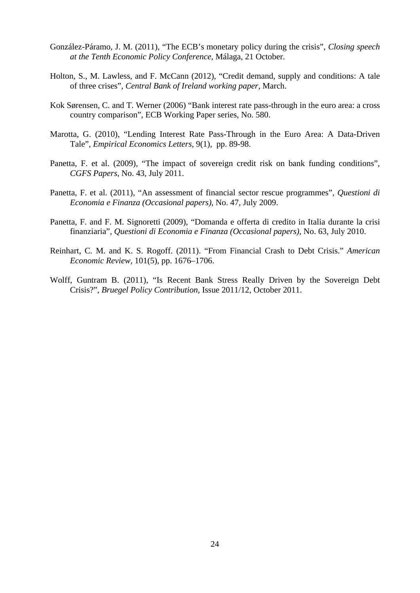- González-Páramo, J. M. (2011), "The ECB's monetary policy during the crisis", *Closing speech at the Tenth Economic Policy Conference*, Málaga, 21 October.
- Holton, S., M. Lawless, and F. McCann (2012), "Credit demand, supply and conditions: A tale of three crises", *Central Bank of Ireland working paper,* March.
- Kok Sørensen, C. and T. Werner (2006) "Bank interest rate pass-through in the euro area: a cross country comparison", ECB Working Paper series, No. 580.
- Marotta, G. (2010), "Lending Interest Rate Pass-Through in the Euro Area: A Data-Driven Tale", *Empirical Economics Letters*, 9(1), pp. 89-98.
- Panetta, F. et al. (2009), "The impact of sovereign credit risk on bank funding conditions", *CGFS Papers*, No. 43, July 2011.
- Panetta, F. et al. (2011), "An assessment of financial sector rescue programmes", *Questioni di Economia e Finanza (Occasional papers)*, No. 47, July 2009.
- Panetta, F. and F. M. Signoretti (2009), "Domanda e offerta di credito in Italia durante la crisi finanziaria", *Questioni di Economia e Finanza (Occasional papers)*, No. 63, July 2010.
- Reinhart, C. M. and K. S. Rogoff. (2011). "From Financial Crash to Debt Crisis." *American Economic Review*, 101(5), pp. 1676–1706.
- Wolff, Guntram B. (2011), "Is Recent Bank Stress Really Driven by the Sovereign Debt Crisis?", *Bruegel Policy Contribution*, Issue 2011/12, October 2011.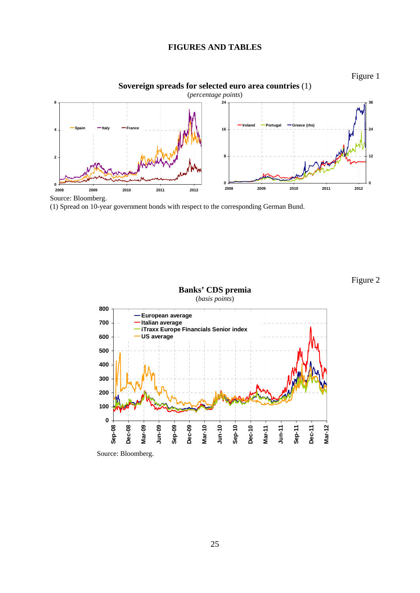#### **FIGURES AND TABLES**





Figure 2



Source: Bloomberg.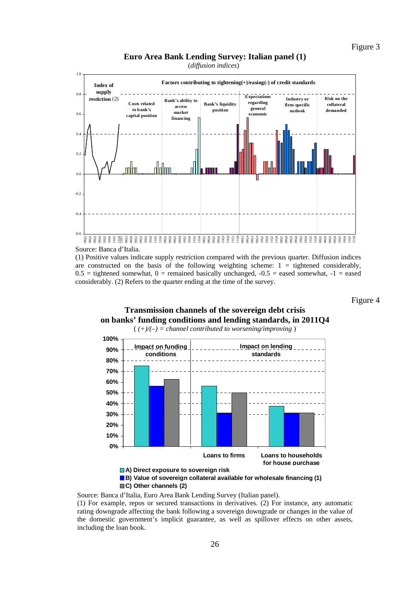

#### **Euro Area Bank Lending Survey: Italian panel (1)**

(*diffusion indices*)

Source: Banca d'Italia.

(1) Positive values indicate supply restriction compared with the previous quarter. Diffusion indices are constructed on the basis of the following weighting scheme:  $1 =$  tightened considerably,  $0.5$  = tightened somewhat,  $0$  = remained basically unchanged,  $-0.5$  = eased somewhat,  $-1$  = eased considerably. (2) Refers to the quarter ending at the time of the survey.

Figure 4



#### **C) Other channels (2)**

Source: Banca d'Italia, Euro Area Bank Lending Survey (Italian panel).

(1) For example, repos or secured transactions in derivatives. (2) For instance, any automatic rating downgrade affecting the bank following a sovereign downgrade or changes in the value of the domestic government's implicit guarantee, as well as spillover effects on other assets, including the loan book.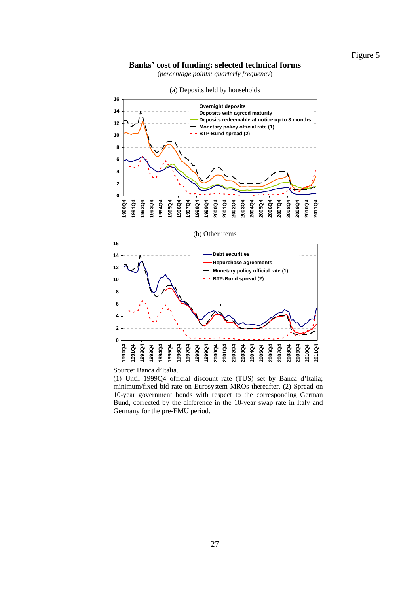# Figure 5

#### **Banks' cost of funding: selected technical forms**

(*percentage points; quarterly frequency*)



(b) Other items

**Debt securities**

**5**

**Repurchase agreements Monetary policy official rate (1) BTP-Bund spread (2)**

**1990Q4 1991Q4 1992Q4 1993Q4 1994Q4 1995Q4 1996Q4 1997Q4 1998Q4 1999Q4 2000Q4 2001Q4 2002Q4** Source: Banca d'Italia.

(1) Until 1999Q4 official discount rate (TUS) set by Banca d'Italia; minimum/fixed bid rate on Eurosystem MROs thereafter. (2) Spread on 10-year government bonds with respect to the corresponding German Bund, corrected by the difference in the 10-year swap rate in Italy and Germany for the pre-EMU period.

**2003Q4 2004Q4 2005Q4 2006Q4 2007Q4 2008Q4 2009Q4 2010Q4 2011Q4**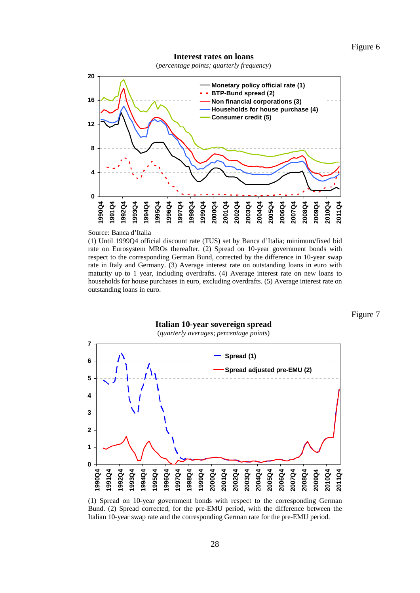# **Interest rates on loans**

(*percentage points; quarterly frequency*)



Source: Banca d'Italia

(1) Until 1999Q4 official discount rate (TUS) set by Banca d'Italia; minimum/fixed bid rate on Eurosystem MROs thereafter. (2) Spread on 10-year government bonds with respect to the corresponding German Bund, corrected by the difference in 10-year swap rate in Italy and Germany. (3) Average interest rate on outstanding loans in euro with maturity up to 1 year, including overdrafts. (4) Average interest rate on new loans to households for house purchases in euro, excluding overdrafts. (5) Average interest rate on outstanding loans in euro.

Figure 7



(1) Spread on 10-year government bonds with respect to the corresponding German Bund. (2) Spread corrected, for the pre-EMU period, with the difference between the Italian 10-year swap rate and the corresponding German rate for the pre-EMU period.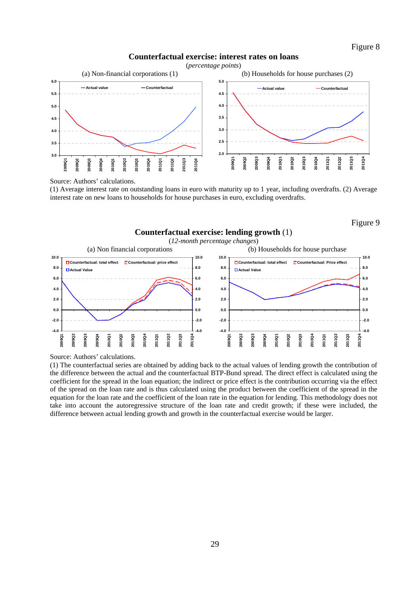Figure 8

#### **Counterfactual exercise: interest rates on loans**



Source: Authors' calculations.

(1) Average interest rate on outstanding loans in euro with maturity up to 1 year, including overdrafts. (2) Average interest rate on new loans to households for house purchases in euro, excluding overdrafts.



Source: Authors' calculations.

(1) The counterfactual series are obtained by adding back to the actual values of lending growth the contribution of the difference between the actual and the counterfactual BTP-Bund spread. The direct effect is calculated using the coefficient for the spread in the loan equation; the indirect or price effect is the contribution occurring via the effect of the spread on the loan rate and is thus calculated using the product between the coefficient of the spread in the equation for the loan rate and the coefficient of the loan rate in the equation for lending. This methodology does not take into account the autoregressive structure of the loan rate and credit growth; if these were included, the difference between actual lending growth and growth in the counterfactual exercise would be larger.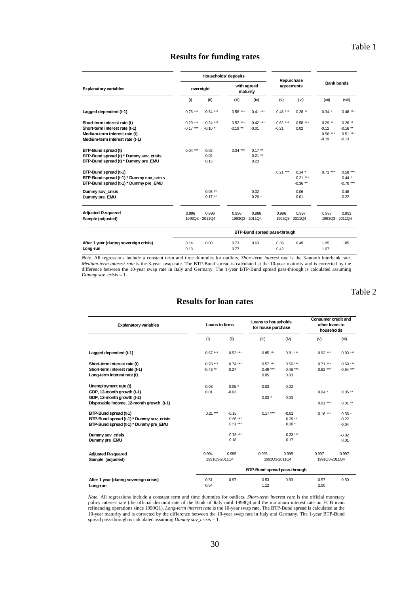#### Table 1

# **Results for funding rates**

|                                                                                                                                    |                          | <b>Households' deposits</b> |                          |                                |                              |                                    |                                              |                                                 |  |
|------------------------------------------------------------------------------------------------------------------------------------|--------------------------|-----------------------------|--------------------------|--------------------------------|------------------------------|------------------------------------|----------------------------------------------|-------------------------------------------------|--|
| <b>Explanatory variables</b>                                                                                                       |                          | overnight                   | with agreed<br>maturity  |                                | Repurchase<br>agreements     |                                    | <b>Bank bonds</b>                            |                                                 |  |
|                                                                                                                                    | (i)                      | (ii)                        | (iii)                    | (iv)                           | (v)                          | (vi)                               | (vii)                                        | (viii)                                          |  |
| Lagged dependent (t-1)                                                                                                             | $0.76$ ***               | $0.64$ ***                  | $0.56***$                | $0.41***$                      | $0.48$ ***                   | $0.28**$                           | $0.34*$                                      | $0.48***$                                       |  |
| Short-term interest rate (t)<br>Short-term interest rate (t-1)<br>Medium-term interest rate (t)<br>Medium-term interest rate (t-1) | $0.29***$<br>$-0.17$ *** | $0.24***$<br>$-0.10*$       | $0.52***$<br>$-0.19**$   | $0.42***$<br>$-0.01$           | $0.62$ ***<br>$-0.21$        | $0.58***$<br>0.02                  | $0.29$ **<br>$-0.12$<br>$0.56***$<br>$-0.19$ | $0.26$ **<br>$-0.16$ **<br>$0.51***$<br>$-0.13$ |  |
| <b>BTP-Bund spread (t)</b><br>BTP-Bund spread (t) * Dummy sov crisis<br>BTP-Bund spread (t) * Dummy pre EMU                        | $0.04***$                | 0.02<br>$-0.02$<br>0.15     | $0.34***$                | $0.17***$<br>$0.21$ **<br>0.20 |                              |                                    |                                              |                                                 |  |
| BTP-Bund spread (t-1)<br>BTP-Bund spread (t-1) * Dummy sov crisis<br>BTP-Bund spread (t-1) * Dummy pre EMU                         |                          |                             |                          |                                | $0.21***$                    | $0.14*$<br>$0.21***$<br>$-0.36$ ** | $0.71***$                                    | $0.58***$<br>$0.44 *$<br>$-0.70$ ***            |  |
| Dummy sov crisis<br>Dummy pre EMU                                                                                                  |                          | $0.08$ **<br>$0.17**$       |                          | $-0.02$<br>$0.26*$             |                              | $-0.06$<br>$-0.01$                 |                                              | $-0.48$<br>0.22                                 |  |
| <b>Adjusted R-squared</b><br>Sample (adjusted)                                                                                     | 0.996                    | 0.996<br>1993Q3 - 2011Q4    | 0.996<br>1993Q3 - 2011Q4 | 0.996                          | 0.996<br>1995Q3 - 2011Q4     | 0.997                              | 0.987<br>1993Q3 - 2011Q4                     | 0.993                                           |  |
|                                                                                                                                    |                          |                             |                          |                                | BTP-Bund spread pass-through |                                    |                                              |                                                 |  |
| After 1 year (during sovereign crisis)                                                                                             | 0.14                     | 0.00                        | 0.73                     | 0.63                           | 0.39                         | 0.49                               | 1.05                                         | 1.85                                            |  |

*Note.* All regressions include a constant term and time dummies for outliers. *Short-term interest* rate is the 3-month interbank rate. *Medium-term interest rate* is the 3-year swap rate. The BTP-Bund spread is calculated at the 10-year maturity and is corrected by the difference between the 10-year swap rate in Italy and Germany. The 1-year BTP-Bund spread pass-through is calculated assuming *Dummy sov\_crisis* = 1.

**Long-run** 1.07 **1.07** 0.42 1.07

#### Table 2

# **Results for loan rates**

| <b>Explanatory variables</b>             | Loans to firms |            | Loans to households<br>for house purchase |             |               | <b>Consumer credit and</b><br>other loans to<br>households |  |  |
|------------------------------------------|----------------|------------|-------------------------------------------|-------------|---------------|------------------------------------------------------------|--|--|
|                                          | (i)            | (ii)       | (iii)                                     | (iv)        | (v)           | (vi)                                                       |  |  |
| Lagged dependent (t-1)                   | $0.67***$      | $0.52***$  | $0.85***$                                 | $0.81***$   | $0.92***$     | $0.93***$                                                  |  |  |
| Short-term interest rate (t)             | $0.78***$      | $0.74***$  | $0.57***$                                 | $0.56***$   | $0.71***$     | $0.69***$                                                  |  |  |
| Short-term interest rate (t-1)           | $-0.43$ **     | $-0.27$    | $-0.49$ ***                               | $-0.46$ *** | $-0.62$ ***   | $-0.64$ ***                                                |  |  |
| Long-term interest rate (t)              |                |            | 0.05                                      | 0.03        |               |                                                            |  |  |
| Unemployment rate (t)                    | 0.03           | $0.05*$    | $-0.03$                                   | $-0.02$     |               |                                                            |  |  |
| GDP, 12-month growth (t-1)               | 0.01           | $-0.02$    |                                           |             | $0.04*$       | $0.05$ **                                                  |  |  |
| GDP, 12-month growth (t-2)               |                |            | $0.03*$                                   | 0.03        |               |                                                            |  |  |
| Disposable income, 12-month growth (t-1) |                |            |                                           |             | $0.01***$     | $0.01$ **                                                  |  |  |
| BTP-Bund spread (t-1)                    | $0.21***$      | $-0.15$    | $0.17***$                                 | $-0.01$     | $0.16***$     | $0.36*$                                                    |  |  |
| BTP-Bund spread (t-1) * Dummy sov_crisis |                | $0.66***$  |                                           | $0.29***$   |               | $-0.22$                                                    |  |  |
| BTP-Bund spread (t-1) * Dummy pre EMU    |                | $0.51***$  |                                           | $0.30*$     |               | $-0.04$                                                    |  |  |
| Dummy sov crisis                         |                | $-0.78***$ |                                           | $-0.33***$  |               | $-0.02$                                                    |  |  |
| Dummy pre_EMU                            |                | 0.18       |                                           | 0.17        |               | 0.01                                                       |  |  |
| <b>Adjusted R-squared</b>                | 0.994          | 0.995      | 0.995                                     | 0.995       | 0.997         | 0.997                                                      |  |  |
| Sample (adjusted)                        | 1991Q3-2011Q4  |            | 1991Q3-2011Q4                             |             | 1991Q3-2011Q4 |                                                            |  |  |
|                                          |                |            | BTP-Bund spread pass-through              |             |               |                                                            |  |  |
| After 1 year (during sovereign crisis)   | 0.51           | 0.97       | 0.53                                      | 0.83        | 0.57          | 0.50                                                       |  |  |
| Long-run                                 | 0.64           |            | 1.12                                      |             | 2.00          |                                                            |  |  |

*Note.* All regressions include a constant term and time dummies for outliers. *Short-term interest rate* is the official monetary policy interest rate (the official discount rate of the Bank of Italy until 1998Q4 and the minimum interest rate on ECB main refinancing operations since 1999Q1). *Long-term interest rate* is the 10-year swap rate. The BTP-Bund spread is calculated at the 10-year maturity and is corrected by the difference between the 10-year swap rate in Italy and Germany. The 1-year BTP-Bund spread pass-through is calculated assuming *Dummy sov\_crisis* = 1.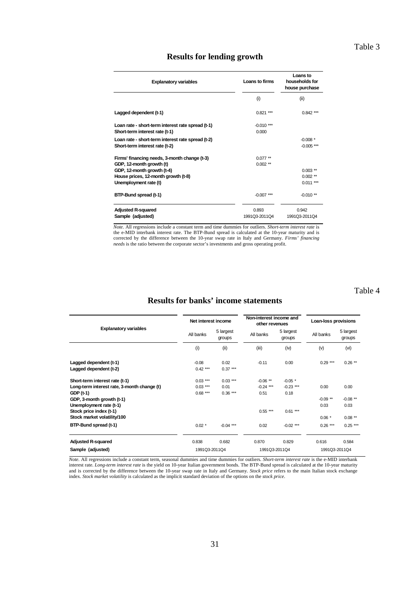# **Results for lending growth**

| <b>Explanatory variables</b>                                                                                                                                           | Loans to firms          | Loans to<br>households for<br>house purchase |
|------------------------------------------------------------------------------------------------------------------------------------------------------------------------|-------------------------|----------------------------------------------|
|                                                                                                                                                                        | (i)                     | (ii)                                         |
| Lagged dependent (t-1)                                                                                                                                                 | $0.821***$              | $0.842***$                                   |
| Loan rate - short-term interest rate spread (t-1)<br>Short-term interest rate (t-1)                                                                                    | $-0.010$ ***<br>0.000   |                                              |
| Loan rate - short-term interest rate spread (t-2)<br>Short-term interest rate (t-2)                                                                                    |                         | $-0.008$ *<br>$-0.005$ ***                   |
| Firms' financing needs, 3-month change (t-3)<br>GDP, 12-month growth (t)<br>GDP, 12-month growth (t-4)<br>House prices, 12-month growth (t-8)<br>Unemployment rate (t) | $0.077**$<br>$0.002$ ** | $0.003$ **<br>$0.002$ **<br>$0.011***$       |
| BTP-Bund spread (t-1)                                                                                                                                                  | $-0.007$ ***            | $-0.010**$                                   |
| <b>Adjusted R-squared</b><br>Sample (adjusted)                                                                                                                         | 0.893<br>1991Q3-2011Q4  | 0.942<br>1991Q3-2011Q4                       |

*Note.* All regressions include a constant term and time dummies for outliers. *Short-term interest rate* is the e-MID interbank interest rate. The BTP-Bund spread is calculated at the 10-year maturity and is corrected by the difference between the 10-year swap rate in Italy and Germany. *Firms' financing needs* is the ratio between the corporate sector's investments and gross operating profit.

#### Table 4

# **Results for banks' income statements**

| <b>Explanatory variables</b>                | Net interest income |                     | Non-interest income and<br>other revenues |                     | Loan-loss provisions |                     |  |
|---------------------------------------------|---------------------|---------------------|-------------------------------------------|---------------------|----------------------|---------------------|--|
|                                             | All banks           | 5 largest<br>groups | All banks                                 | 5 largest<br>groups | All banks            | 5 largest<br>groups |  |
|                                             | (i)                 | (ii)                | (iii)                                     | (iv)                | (v)                  | (vi)                |  |
| Lagged dependent (t-1)                      | $-0.08$             | 0.02                | $-0.11$                                   | 0.00                | $0.29***$            | $0.26$ **           |  |
| Lagged dependent (t-2)                      | $0.42***$           | $0.37***$           |                                           |                     |                      |                     |  |
| Short-term interest rate (t-1)              | $0.03***$           | $0.03***$           | $-0.06$ **                                | $-0.05*$            |                      |                     |  |
| Long-term interest rate, 3-month change (t) | $0.03***$           | 0.01                | $-0.24$ ***                               | $-0.23$ ***         | 0.00                 | 0.00                |  |
| GDP (t-1)                                   | $0.68***$           | $0.36***$           | 0.51                                      | 0.18                |                      |                     |  |
| GDP, 3-month growth (t-1)                   |                     |                     |                                           |                     | $-0.09$ **           | $-0.08$ **          |  |
| Unemployment rate (t-1)                     |                     |                     |                                           |                     | 0.03                 | 0.03                |  |
| Stock price index (t-1)                     |                     |                     | $0.55***$                                 | $0.61***$           |                      |                     |  |
| Stock market volatility/100                 |                     |                     |                                           |                     | $0.06*$              | $0.08***$           |  |
| BTP-Bund spread (t-1)                       | $0.02*$             | $-0.04$ ***         | 0.02                                      | $-0.02$ ***         | $0.26***$            | $0.25***$           |  |
| <b>Adjusted R-squared</b>                   | 0.838               | 0.682               | 0.870                                     | 0.829               | 0.616                | 0.584               |  |
| Sample (adjusted)                           | 1991Q3-2011Q4       |                     | 1991Q3-2011Q4                             |                     | 1991Q3-2011Q4        |                     |  |

*Note.* All regressions include a constant term, seasonal dummies and time dummies for outliers. *Short-term interest rate* is the e-MID interbank interest rate. *Long-term interest rate* is the yield on 10-year Italian government bonds. The BTP-Bund spread is calculated at the 10-year maturity and is corrected by the difference between the 10-year swap rate in Italy and Germany. *Stock price* refers to the main Italian stock exchange index. *Stock market volatility* is calculated as the implicit standard deviation of the options on the *stock price*.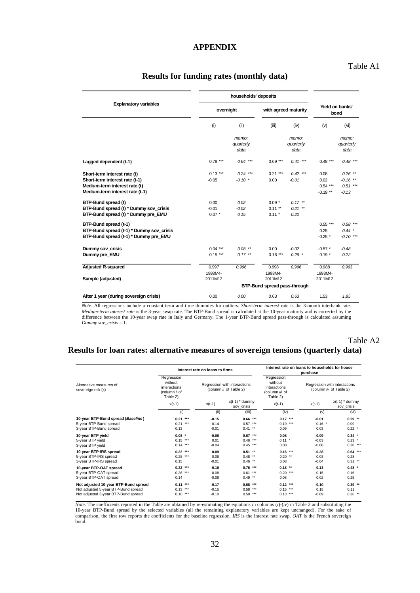#### **APPENDIX**

# Table A1

# **Results for funding rates (monthly data)**

|                                                                                                                                    |                             | households' deposits       |                                         |                                |                                        |                                                 |  |  |
|------------------------------------------------------------------------------------------------------------------------------------|-----------------------------|----------------------------|-----------------------------------------|--------------------------------|----------------------------------------|-------------------------------------------------|--|--|
| <b>Explanatory variables</b>                                                                                                       | overnight                   |                            |                                         | with agreed maturity           | Yield on banks'<br>bond                |                                                 |  |  |
|                                                                                                                                    | (i)                         | (ii)                       | (iii)                                   | (iv)                           | (v)                                    | (vi)                                            |  |  |
|                                                                                                                                    |                             | memo:<br>quarterly<br>data |                                         | memo:<br>quarterly<br>data     |                                        | memo:<br>quarterly<br>data                      |  |  |
| Lagged dependent (t-1)                                                                                                             | $0.78***$                   | $0.64***$                  | $0.69***$                               | $0.41***$                      | $0.48***$                              | $0.48***$                                       |  |  |
| Short-term interest rate (t)<br>Short-term interest rate (t-1)<br>Medium-term interest rate (t)<br>Medium-term interest rate (t-1) | $0.13***$<br>$-0.05$        | $0.24$ ***<br>$-0.10$ *    | $0.21***$<br>0.00                       | $0.42$ ***<br>$-0.01$          | 0.08<br>0.02<br>$0.54***$<br>$-0.19**$ | $0.26$ **<br>$-0.16$ **<br>$0.51***$<br>$-0.13$ |  |  |
| BTP-Bund spread (t)<br>BTP-Bund spread (t) * Dummy sov crisis<br>BTP-Bund spread (t) * Dummy pre EMU                               | 0.00<br>$-0.01$<br>$0.07 *$ | 0.02<br>$-0.02$<br>0.15    | $0.09*$<br>$0.11**$<br>$0.11 *$         | $0.17$ **<br>$0.21$ **<br>0.20 |                                        |                                                 |  |  |
| BTP-Bund spread (t-1)<br>BTP-Bund spread (t-1) * Dummy sov crisis<br>BTP-Bund spread (t-1) * Dummy pre EMU                         |                             |                            |                                         |                                | $0.55***$<br>0.25<br>$-0.25$ *         | $0.58***$<br>$0.44$ *<br>$-0.70$ ***            |  |  |
| Dummy sov_crisis<br>Dummy pre_EMU                                                                                                  | $0.04***$<br>$0.15***$      | $0.08***$<br>$0.17$ **     | 0.00<br>$0.16***$                       | $-0.02$<br>$0.26$ *            | $-0.57$ *<br>$0.19*$                   | $-0.48$<br>0.22                                 |  |  |
| <b>Adjusted R-squared</b>                                                                                                          | 0.997<br>1993M4-            | 0.996                      | 0.998<br>1993M4-                        | 0.996                          | 0.988<br>1993M4-                       | 0.993                                           |  |  |
| Sample (adjusted)                                                                                                                  | 2011M12                     |                            | 2011M12<br>BTP-Bund spread pass-through |                                | 2011M12                                |                                                 |  |  |
| After 1 year (during sovereign crisis)                                                                                             | 0.00                        | 0.00                       | 0.63                                    | 0.63                           | 1.53                                   | 1.85                                            |  |  |

*Note.* All regressions include a constant term and time dummies for outliers. *Short-term interest* rate is the 3-month interbank rate. *Medium-term interest rate* is the 3-year swap rate. The BTP-Bund spread is calculated at the 10-year maturity and is corrected by the difference between the 10-year swap rate in Italy and Germany. The 1-year BTP-Bund spread pass-through is calculated assuming *Dummy sov\_crisis* = 1.

#### Table A2

#### **Results for loan rates: alternative measures of sovereign tensions (quarterly data)**

|                                               |                                                                   | Interest rate on loans to firms |                                                        | Interest rate on loans to households for house<br>purchase          |                                                        |                                |  |
|-----------------------------------------------|-------------------------------------------------------------------|---------------------------------|--------------------------------------------------------|---------------------------------------------------------------------|--------------------------------------------------------|--------------------------------|--|
| Alternative measures of<br>sovereign risk (x) | Regression<br>without<br>interactions<br>(column i of<br>Table 2) |                                 | Regression with interactions<br>(column ii of Table 2) | Regression<br>without<br>interactions<br>(column iii of<br>Table 2) | Regression with interactions<br>(column iv of Table 2) |                                |  |
|                                               | $x(t-1)$                                                          | $x(t-1)$                        | $x(t-1)$ * dummy<br>sov crisis                         | $x(t-1)$                                                            | $x(t-1)$                                               | $x(t-1)$ * dummy<br>sov crisis |  |
|                                               | (i)                                                               | (ii)                            | (iiii)                                                 | (iv)                                                                | (v)                                                    | (vi)                           |  |
| 10-year BTP-Bund spread (Baseline)            | ***<br>0.21                                                       | $-0.15$                         | 0.66<br>***                                            | ***<br>0.17                                                         | $-0.01$                                                | $0.29$ **                      |  |
| 5-year BTP-Bund spread                        | ***<br>0.21                                                       | $-0.14$                         | ***<br>0.57                                            | 0.19<br>***                                                         | $0.16$ *                                               | 0.09                           |  |
| 3-year BTP-Bund spread                        | 0.13                                                              | $-0.01$                         | 0.41<br>$*$                                            | 0.09                                                                | 0.03                                                   | $0.22$ *                       |  |
| 10-year BTP yield                             | $0.08$ *                                                          | $-0.06$                         | ***<br>0.67                                            | 0.08                                                                | $-0.09$                                                | $0.34$ *                       |  |
| 5-year BTP yield                              | ***<br>0.15                                                       | 0.01                            | ***<br>0.46                                            | $0.11$ *                                                            | $-0.03$                                                | $0.23$ *                       |  |
| 3-year BTP yield                              | 0.14<br>***                                                       | $-0.04$                         | ***<br>0.45                                            | 0.08                                                                | $-0.08$                                                | $0.28***$                      |  |
| 10-year BTP-IRS spread                        | 0.22<br>***                                                       | 0.09                            | $*$<br>0.51                                            | 0.16<br>***                                                         | $-0.28$                                                | $0.64$ ***                     |  |
| 5-year BTP-IRS spread                         | 0.28<br>***                                                       | 0.05                            | 0.48<br>**                                             | $0.20$ **                                                           | 0.03                                                   | 0.28                           |  |
| 3-year BTP-IRS spread                         | 0.15                                                              | $-0.01$                         | $0.46$ **                                              | 0.08                                                                | $-0.04$                                                | $0.31***$                      |  |
| 10-year BTP-OAT spread                        | ***<br>0.22                                                       | $-0.16$                         | 0.76<br>***                                            | $0.18$ **                                                           | $-0.13$                                                | $0.48$ *                       |  |
| 5-year BTP-OAT spread                         | ***<br>0.26                                                       | $-0.08$                         | $***$<br>0.61                                          | 0.20<br>***                                                         | 0.15                                                   | 0.16                           |  |
| 3-year BTP-OAT spread                         | 0.14                                                              | $-0.06$                         | 0.49<br>$*$                                            | 0.08                                                                | 0.02                                                   | 0.25                           |  |
| Not adjusted 10-year BTP-Bund spread          | ***<br>0.11                                                       | $-0.17$                         | 0.68<br>***                                            | $0.12***$                                                           | $-0.10$                                                | $0.39$ **                      |  |
| Not adjusted 5-year BTP-Bund spread           | ***<br>0.13                                                       | $-0.15$                         | 0.58<br>***                                            | 0.15<br>***                                                         | 0.15                                                   | 0.11                           |  |
| Not adjusted 3-year BTP-Bund spread           | 0.10<br>***                                                       | $-0.10$                         | 0.50<br>***                                            | 0.13<br>***                                                         | $-0.09$                                                | $0.36$ **                      |  |

*Note*. The coefficients reported in the Table are obtained by re-estimating the equations in columns (*i*)-(*iv*) in Table 2 and substituting the 10-year BTP-Bund spread by the selected variables (all the remaining explanatory variables are kept unchanged). For the sake of comparison, the first row reports the coefficients for the baseline regression. *IRS* is the interest rate swap. *OAT* is the French sovereign bond.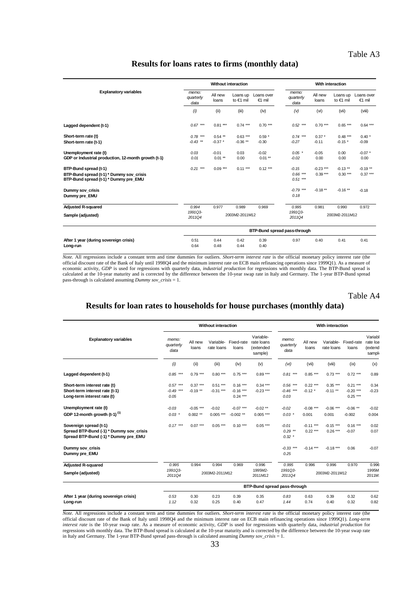#### **Results for loans rates to firms (monthly data)**

|                                                                                                            |                            |                        | With interaction              |                      |                                   |                          |                                |                        |
|------------------------------------------------------------------------------------------------------------|----------------------------|------------------------|-------------------------------|----------------------|-----------------------------------|--------------------------|--------------------------------|------------------------|
| <b>Explanatory variables</b>                                                                               | memo:<br>quarterly<br>data | All new<br>loans       | Loans up<br>to $\notin$ 1 mil | Loans over<br>€1 mil | memo:<br>quarterly<br>data        | All new<br>loans         | Loans up<br>to $\not\in$ 1 mil | Loans over<br>$f$ mil  |
|                                                                                                            | (i)                        | (ii)                   | (iii)                         | (iv)                 | (v)                               | (vi)                     | (vii)                          | (viii)                 |
| Lagged dependent (t-1)                                                                                     | $0.67***$                  | $0.81***$              | $0.74***$                     | $0.70***$            | $0.52$ ***                        | $0.70***$                | $0.65***$                      | $0.64***$              |
| Short-term rate (t)<br>Short-term rate (t-1)                                                               | $0.78$ ***<br>$-0.43$ **   | $0.54$ **<br>$-0.37$ * | $0.63***$<br>$-0.36$ **       | $0.59*$<br>$-0.30$   | $0.74***$<br>$-0.27$              | $0.37 *$<br>$-0.11$      | $0.48***$<br>$-0.15$ *         | $0.40*$<br>$-0.09$     |
| Unemployment rate (t)<br>GDP or Industrial production, 12-month growth (t-1)                               | 0.03<br>0.01               | $-0.01$<br>$0.01$ **   | 0.03<br>0.00                  | $-0.02$<br>$0.01**$  | $0.05$ *<br>$-0.02$               | $-0.05$<br>0.00          | 0.00<br>0.00                   | $-0.07$ *<br>0.00      |
| BTP-Bund spread (t-1)<br>BTP-Bund spread (t-1) * Dummy sov crisis<br>BTP-Bund spread (t-1) * Dummy pre EMU | 0.21<br>***                | $0.09***$              | $0.11***$                     | $0.12***$            | $-0.15$<br>$0.66***$<br>$0.51***$ | $-0.23$ ***<br>$0.39***$ | $-0.13$ **<br>$0.30***$        | $-0.19**$<br>$0.37***$ |
| Dummy sov crisis<br>Dummy pre EMU                                                                          |                            |                        |                               |                      | $-0.79$ ***<br>0.18               | $-0.18**$                | $-0.16**$                      | $-0.18$                |
| <b>Adjusted R-squared</b>                                                                                  | 0.994                      | 0.977                  | 0.989                         | 0.969                | 0.995                             | 0.981                    | 0.990                          | 0.972                  |
| Sample (adjusted)                                                                                          | 1991Q3-<br>2011Q4          |                        | 2003M2-2011M12                |                      | 1991Q3-<br>2011Q4                 |                          | 2003M2-2011M12                 |                        |
|                                                                                                            |                            |                        |                               |                      | BTP-Bund spread pass-through      |                          |                                |                        |
| After 1 year (during sovereign crisis)<br>Lona-run                                                         | 0.51<br>0.64               | 0.44<br>0.48           | 0.42<br>0.44                  | 0.39<br>0.40         | 0.97                              | 0.40                     | 0.41                           | 0.41                   |

*Note.* All regressions include a constant term and time dummies for outliers. *Short-term interest rate* is the official monetary policy interest rate (the official discount rate of the Bank of Italy until 1998Q4 and the minimum interest rate on ECB main refinancing operations since 1999Q1). As a measure of economic activity, *GDP* is used for regressions with quarterly data, *industrial production* for regressions with monthly data. The BTP-Bund spread is calculated at the 10-year maturity and is corrected by the difference between the 10-year swap rate in Italy and Germany. The 1-year BTP-Bund spread pass-through is calculated assuming *Dummy sov\_crisis* = 1.

#### Table A4

# **Results for loan rates to households for house purchases (monthly data)**

|                                                                                                           |                                  | <b>Without interaction</b> |                         |                                       |                                                 |                                   | With interaction         |                          |                                       |                                          |  |
|-----------------------------------------------------------------------------------------------------------|----------------------------------|----------------------------|-------------------------|---------------------------------------|-------------------------------------------------|-----------------------------------|--------------------------|--------------------------|---------------------------------------|------------------------------------------|--|
| <b>Explanatory variables</b>                                                                              | memo:<br>quarterly<br>data       | All new<br>loans           | Variable-<br>rate loans | Fixed-rate<br>loans                   | Variable-<br>rate loans<br>(extended<br>sample) | memo:<br>quarterly<br>data        | All new<br>loans         | Variable-<br>rate loans  | Fixed-rate<br>loans                   | Variabl<br>rate loa<br>(extend<br>sample |  |
|                                                                                                           | (i)                              | (ii)                       | (iii)                   | (iv)                                  | (v)                                             | (vi)                              | (vii)                    | (viii)                   | (ix)                                  | (x)                                      |  |
| Lagged dependent (t-1)                                                                                    | $0.85***$                        | $0.79***$                  | $0.80***$               | $0.75***$                             | $0.89***$                                       | $0.81***$                         | $0.85***$                | $0.73***$                | $0.72***$                             | 0.89                                     |  |
| Short-term interest rate (t)<br>Short-term interest rate (t-1)<br>Long-term interest rate (t)             | $0.57***$<br>$-0.49$ ***<br>0.05 | $0.37***$<br>$-0.19$ **    | $0.51***$<br>$-0.31***$ | $0.16***$<br>$-0.16$ ***<br>$0.24***$ | $0.34***$<br>$-0.23$ ***                        | $0.56$ ***<br>$-0.46$ ***<br>0.03 | $0.22***$<br>$-0.12$ *   | $0.35***$<br>$-0.11**$   | $0.21***$<br>$-0.20$ ***<br>$0.25***$ | 0.34<br>$-0.23$                          |  |
| Unemployment rate (t)<br>GDP 12-month growth $(t-1)$ <sup>(1)</sup>                                       | $-0.03$<br>$0.03$ *              | $-0.05$ ***<br>$0.002$ **  | $-0.02$<br>$0.005$ ***  | $-0.07$ ***<br>$-0.002$ **            | $-0.02$ **<br>$0.005$ ***                       | $-0.02$<br>$0.03$ *               | $-0.08$ ***<br>0.001     | $-0.06$ ***<br>0.001     | $-0.06$ **<br>$-0.002$                | $-0.02$<br>0.004                         |  |
| Sovereign spread (t-1)<br>Spread BTP-Bund (-1) * Dummy sov_crisis<br>Spread BTP-Bund (-1) * Dummy pre_EMU | $0.17$ ***                       | $0.07***$                  | $0.05***$               | $0.10***$                             | $0.05***$                                       | $-0.01$<br>$0.29$ **<br>$0.32$ *  | $-0.11$ ***<br>$0.22***$ | $-0.15$ ***<br>$0.26***$ | $0.16***$<br>$-0.07$                  | 0.02<br>0.07                             |  |
| Dummy sov_crisis<br>Dummy pre_EMU                                                                         |                                  |                            |                         |                                       |                                                 | $-0.33$ ***<br>0.25               | $-0.14***$               | $-0.18***$               | 0.06                                  | $-0.07$                                  |  |
| <b>Adjusted R-squared</b>                                                                                 | 0.995                            | 0.994                      | 0.994                   | 0.969                                 | 0.996                                           | 0.995                             | 0.996                    | 0.996                    | 0.970                                 | 0.996                                    |  |
| Sample (adjusted)                                                                                         | 199103-<br>2011Q4                |                            | 2003M2-2011M12          |                                       | 1995M2-<br>2011M12                              | 1991Q3-<br>2011Q4                 |                          | 2003M2-2011M12           |                                       | 1995M:<br>2011M <sup>-</sup>             |  |
|                                                                                                           |                                  |                            |                         |                                       | BTP-Bund spread pass-through                    |                                   |                          |                          |                                       |                                          |  |
| After 1 year (during sovereign crisis)<br>Long-run                                                        | 0.53<br>1.12                     | 0.30<br>0.32               | 0.23<br>0.25            | 0.39<br>0.40                          | 0.35<br>0.47                                    | 0.83<br>1.44                      | 0.63<br>0.74             | 0.39<br>0.40             | 0.32<br>0.32                          | 0.62<br>0.82                             |  |

*Note.* All regressions include a constant term and time dummies for outliers. *Short-term interest rate* is the official monetary policy interest rate (the official discount rate of the Bank of Italy until 1998Q4 and the minimum interest rate on ECB main refinancing operations since 1999Q1). *Long-term interest rate* is the 10-year swap rate. As a measure of economic activity, *GDP* is used for regressions with quarterly data, *industrial production* for regressions with monthly data. The BTP-Bund spread is calculated at the 10-year maturity and is corrected by the difference between the 10-year swap rate in Italy and Germany. The 1-year BTP-Bund spread pass-through is calculated assuming *Dummy sov\_crisis* = 1.